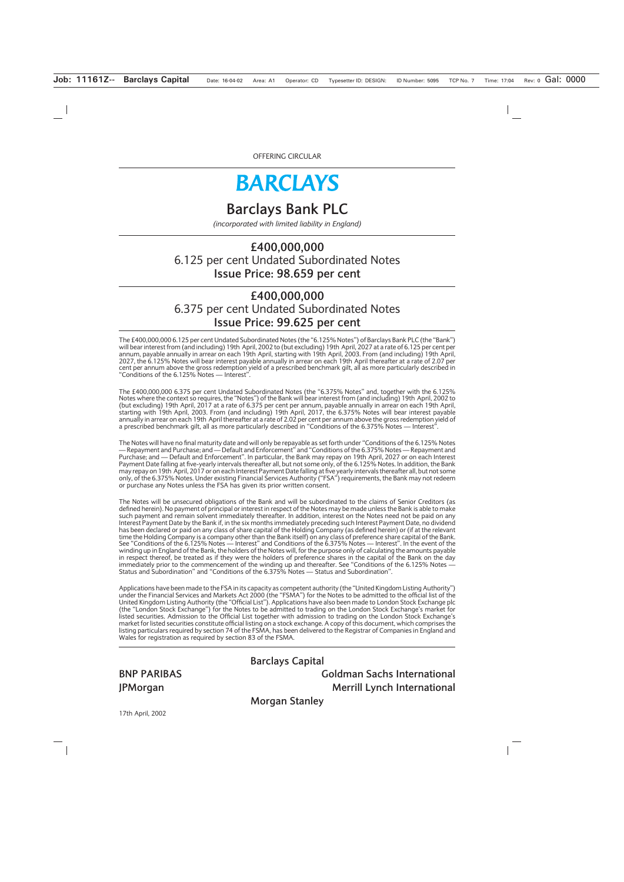# **BARCLAYS**

# **Barclays Bank PLC**

*(incorporated with limited liability in England)*

# **£400,000,000** 6.125 per cent Undated Subordinated Notes **Issue Price: 98.659 per cent**

# **£400,000,000** 6.375 per cent Undated Subordinated Notes **Issue Price: 99.625 per cent**

The £400,000,000 6.125 per cent Undated Subordinated Notes (the "6.125% Notes") of Barclays Bank PLC (the "Bank") will bear interest from (and including) 19th April, 2002 to (but excluding) 19th April, 2027 at a rate of 6.125 per cent per annum, payable annually in arrear on each 19th April, starting with 19th April, 2003. From (and including) 19th April, 2027, the 6.125% Notes will bear interest payable annually in arrear on each 19th April thereafter at a rate of 2.07 per cent per annum above the gross redemption yield of a prescribed benchmark gilt, all as more particularly described in "Conditions of the 6.125% Notes — Interest".

The £400,000,000 6.375 per cent Undated Subordinated Notes (the "6.375% Notes" and, together with the 6.125% Notes where the context so requires, the "Notes") of the Bank will bear interest from (and including) 19th April, 2002 to (but excluding) 19th April, 2017 at a rate of 6.375 per cent per annum, payable annually in arrear on each 19th April, starting with 19th April, 2003. From (and including) 19th April, 2017, the 6.375% Notes will bear interest payable annually in arrear on each 19th April thereafter at a rate of 2.02 per cent per annum above the gross redemption yield of a prescribed benchmark gilt, all as more particularly described in "Conditions of the 6.375% Notes — Interest".

The Notes will have no final maturity date and will only be repayable as set forth under "Conditions of the 6.125% Notes — Repayment and Purchase; and — Default and Enforcement" and "Conditions of the 6.375% Notes — Repayment and Purchase; and — Default and Enforcement". In particular, the Bank may repay on 19th April, 2027 or on each Interest Payment Date falling at five-yearly intervals thereafter all, but not some only, of the 6.125% Notes. In addition, the Bank may repay on 19th April, 2017 or on each Interest Payment Date falling at five yearly intervals thereafter all, but not some only, of the 6.375% Notes. Under existing Financial Services Authority ("FSA") requirements, the Bank may not redeem or purchase any Notes unless the FSA has given its prior written consent.

The Notes will be unsecured obligations of the Bank and will be subordinated to the claims of Senior Creditors (as defined herein). No payment of principal or interest in respect of the Notes may be made unless the Bank is able to make such payment and remain solvent immediately thereafter. In addition, interest on the Notes need not be paid on any Interest Payment Date by the Bank if, in the six months immediately preceding such Interest Payment Date, no dividend has been declared or paid on any class of share capital of the Holding Company (as defined herein) or (if at the relevant time the Holding Company is a company other than the Bank itself) on any class of preference share capital of the Bank. See "Conditions of the 6.125% Notes — Interest" and Conditions of the 6.375% Notes — Interest". In the event of the winding up in England of the Bank, the holders of the Notes will, for the purpose only of calculating the amounts payable in respect thereof, be treated as if they were the holders of preference shares in the capital of the Bank on the day immediately prior to the commencement of the winding up and thereafter. See "Conditions of the 6.125% Notes — Status and Subordination" and "Conditions of the 6.375% Notes — Status and Subordination".

Applications have been made to the FSA in its capacity as competent authority (the "United Kingdom Listing Authority") under the Financial Services and Markets Act 2000 (the "FSMA") for the Notes to be admitted to the official list of the United Kingdom Listing Authority (the "Official List"). Applications have also been made to London Stock Exchange plc (the "London Stock Exchange") for the Notes to be admitted to trading on the London Stock Exchange's market for listed securities. Admission to the Official List together with admission to trading on the London Stock Exchange's market for listed securities constitute official listing on a stock exchange. A copy of this document, which comprises the listing particulars required by section 74 of the FSMA, has been delivered to the Registrar of Companies in England and Wales for registration as required by section 83 of the FSMA.

**Barclays Capital**

**BNP PARIBAS Goldman Sachs International JPMorgan** Merrill Lynch International

**Morgan Stanley**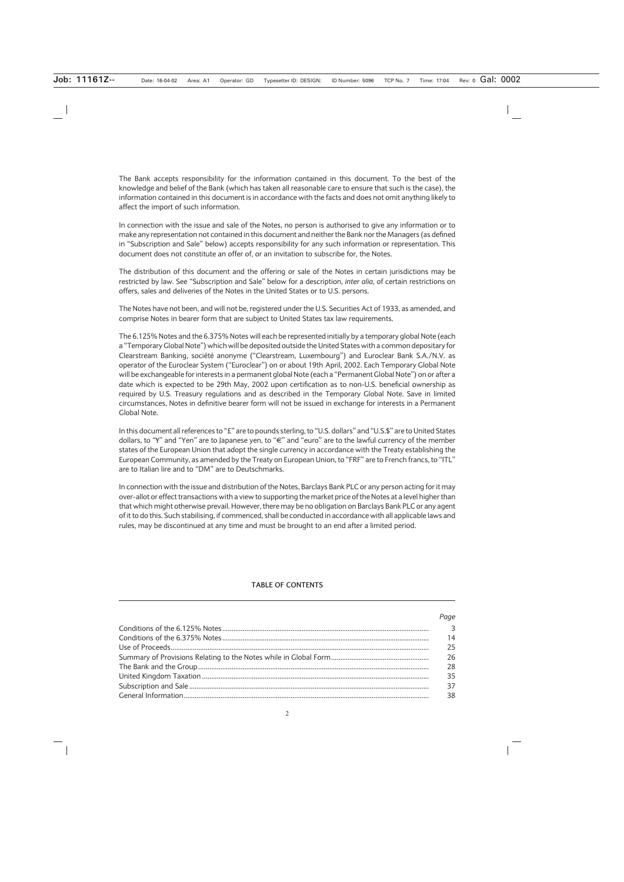The Bank accepts responsibility for the information contained in this document. To the best of the knowledge and belief of the Bank (which has taken all reasonable care to ensure that such is the case), the information contained in this document is in accordance with the facts and does not omit anything likely to affect the import of such information.

In connection with the issue and sale of the Notes, no person is authorised to give any information or to make any representation not contained in this document and neither the Bank nor the Managers (as defined in "Subscription and Sale" below) accepts responsibility for any such information or representation. This document does not constitute an offer of, or an invitation to subscribe for, the Notes.

The distribution of this document and the offering or sale of the Notes in certain jurisdictions may be restricted by law. See "Subscription and Sale" below for a description, *inter alia,* of certain restrictions on offers, sales and deliveries of the Notes in the United States or to U.S. persons.

The Notes have not been, and will not be, registered under the U.S. Securities Act of 1933, as amended, and comprise Notes in bearer form that are subject to United States tax law requirements.

The 6.125% Notes and the 6.375% Notes will each be represented initially by a temporary global Note (each a "Temporary Global Note") which will be deposited outside the United States with a common depositary for Clearstream Banking, société anonyme ("Clearstream, Luxembourg") and Euroclear Bank S.A./N.V. as operator of the Euroclear System ("Euroclear") on or about 19th April, 2002. Each Temporary Global Note will be exchangeable for interests in a permanent global Note (each a "Permanent Global Note") on or after a date which is expected to be 29th May, 2002 upon certification as to non-U.S. beneficial ownership as required by U.S. Treasury regulations and as described in the Temporary Global Note. Save in limited circumstances, Notes in definitive bearer form will not be issued in exchange for interests in a Permanent Global Note.

In this document all references to "£" are to pounds sterling, to "U.S. dollars" and "U.S.\$" are to United States dollars, to " $\overline{f}$ " and "Yen" are to Japanese yen, to " $\in$ " and "euro" are to the lawful currency of the member states of the European Union that adopt the single currency in accordance with the Treaty establishing the European Community, as amended by the Treaty on European Union, to "FRF" are to French francs, to "ITL" are to Italian lire and to "DM" are to Deutschmarks.

In connection with the issue and distribution of the Notes, Barclays Bank PLC or any person acting for it may over-allot or effect transactions with a view to supporting the market price of the Notes at a level higher than that which might otherwise prevail. However, there may be no obligation on Barclays Bank PLC or any agent of it to do this. Such stabilising, if commenced, shall be conducted in accordance with all applicable laws and rules, may be discontinued at any time and must be brought to an end after a limited period.

#### **TABLE OF CONTENTS**

| <b>Page</b>             |
|-------------------------|
| $\overline{\mathbf{3}}$ |
| 14                      |
| 25                      |
| 26                      |
| 28                      |
| 35                      |
| 37                      |
| 38                      |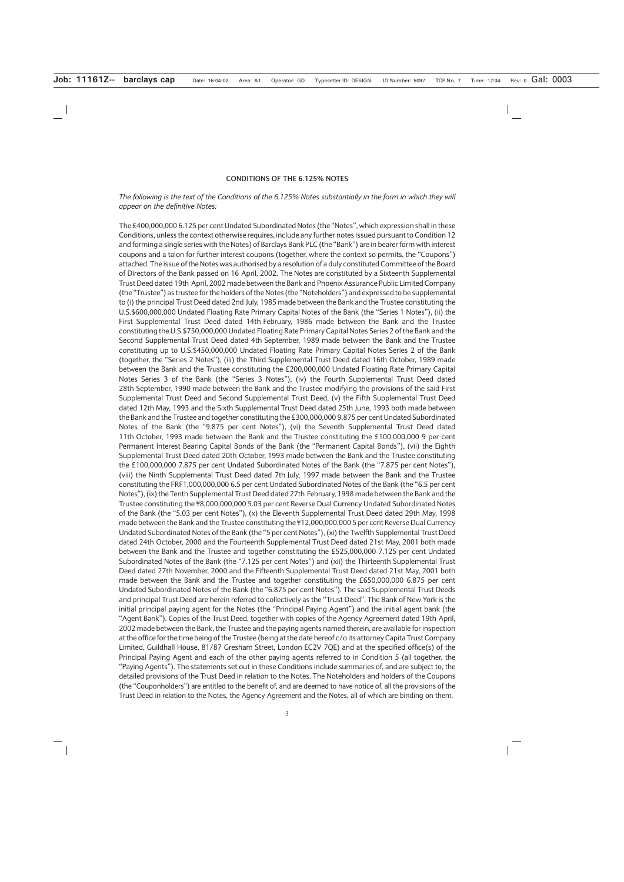#### **CONDITIONS OF THE 6.125% NOTES**

#### *The following is the text of the Conditions of the 6.125% Notes substantially in the form in which they will appear on the definitive Notes:*

The £400,000,000 6.125 per cent Undated Subordinated Notes (the "Notes", which expression shall in these Conditions, unless the context otherwise requires, include any further notes issued pursuant to Condition 12 and forming a single series with the Notes) of Barclays Bank PLC (the "Bank") are in bearer form with interest coupons and a talon for further interest coupons (together, where the context so permits, the "Coupons") attached. The issue of the Notes was authorised by a resolution of a duly constituted Committee of the Board of Directors of the Bank passed on 16 April, 2002. The Notes are constituted by a Sixteenth Supplemental Trust Deed dated 19th April, 2002 made between the Bank and Phoenix Assurance Public Limited Company (the "Trustee") as trustee for the holders of the Notes (the "Noteholders") and expressed to be supplemental to (i) the principal Trust Deed dated 2nd July, 1985 made between the Bank and the Trustee constituting the U.S.\$600,000,000 Undated Floating Rate Primary Capital Notes of the Bank (the "Series 1 Notes"), (ii) the First Supplemental Trust Deed dated 14th February, 1986 made between the Bank and the Trustee constituting the U.S.\$750,000,000 Undated Floating Rate Primary Capital Notes Series 2 of the Bank and the Second Supplemental Trust Deed dated 4th September, 1989 made between the Bank and the Trustee constituting up to U.S.\$450,000,000 Undated Floating Rate Primary Capital Notes Series 2 of the Bank (together, the "Series 2 Notes"), (iii) the Third Supplemental Trust Deed dated 16th October, 1989 made between the Bank and the Trustee constituting the £200,000,000 Undated Floating Rate Primary Capital Notes Series 3 of the Bank (the "Series 3 Notes"), (iv) the Fourth Supplemental Trust Deed dated 28th September, 1990 made between the Bank and the Trustee modifying the provisions of the said First Supplemental Trust Deed and Second Supplemental Trust Deed, (v) the Fifth Supplemental Trust Deed dated 12th May, 1993 and the Sixth Supplemental Trust Deed dated 25th June, 1993 both made between the Bank and the Trustee and together constituting the £300,000,000 9.875 per cent Undated Subordinated Notes of the Bank (the "9.875 per cent Notes"), (vi) the Seventh Supplemental Trust Deed dated 11th October, 1993 made between the Bank and the Trustee constituting the £100,000,000 9 per cent Permanent Interest Bearing Capital Bonds of the Bank (the "Permanent Capital Bonds"), (vii) the Eighth Supplemental Trust Deed dated 20th October, 1993 made between the Bank and the Trustee constituting the £100,000,000 7.875 per cent Undated Subordinated Notes of the Bank (the "7.875 per cent Notes"), (viii) the Ninth Supplemental Trust Deed dated 7th July, 1997 made between the Bank and the Trustee constituting the FRF1,000,000,000 6.5 per cent Undated Subordinated Notes of the Bank (the "6.5 per cent Notes"), (ix) the Tenth Supplemental Trust Deed dated 27th February, 1998 made between the Bank and the Trustee constituting the ¥8,000,000,000 5.03 per cent Reverse Dual Currency Undated Subordinated Notes of the Bank (the "5.03 per cent Notes"), (x) the Eleventh Supplemental Trust Deed dated 29th May, 1998 made between the Bank and the Trustee constituting the ¥12,000,000,000 5 per cent Reverse Dual Currency Undated Subordinated Notes of the Bank (the "5 per cent Notes"), (xi) the Twelfth Supplemental Trust Deed dated 24th October, 2000 and the Fourteenth Supplemental Trust Deed dated 21st May, 2001 both made between the Bank and the Trustee and together constituting the £525,000,000 7.125 per cent Undated Subordinated Notes of the Bank (the "7.125 per cent Notes") and (xii) the Thirteenth Supplemental Trust Deed dated 27th November, 2000 and the Fifteenth Supplemental Trust Deed dated 21st May, 2001 both made between the Bank and the Trustee and together constituting the £650,000,000 6.875 per cent Undated Subordinated Notes of the Bank (the "6.875 per cent Notes"). The said Supplemental Trust Deeds and principal Trust Deed are herein referred to collectively as the "Trust Deed". The Bank of New York is the initial principal paying agent for the Notes (the "Principal Paying Agent") and the initial agent bank (the "Agent Bank"). Copies of the Trust Deed, together with copies of the Agency Agreement dated 19th April, 2002 made between the Bank, the Trustee and the paying agents named therein, are available for inspection at the office for the time being of the Trustee (being at the date hereof c/o its attorney Capita Trust Company Limited, Guildhall House, 81/87 Gresham Street, London EC2V 7QE) and at the specified office(s) of the Principal Paying Agent and each of the other paying agents referred to in Condition 5 (all together, the "Paying Agents"). The statements set out in these Conditions include summaries of, and are subject to, the detailed provisions of the Trust Deed in relation to the Notes. The Noteholders and holders of the Coupons (the "Couponholders") are entitled to the benefit of, and are deemed to have notice of, all the provisions of the Trust Deed in relation to the Notes, the Agency Agreement and the Notes, all of which are binding on them.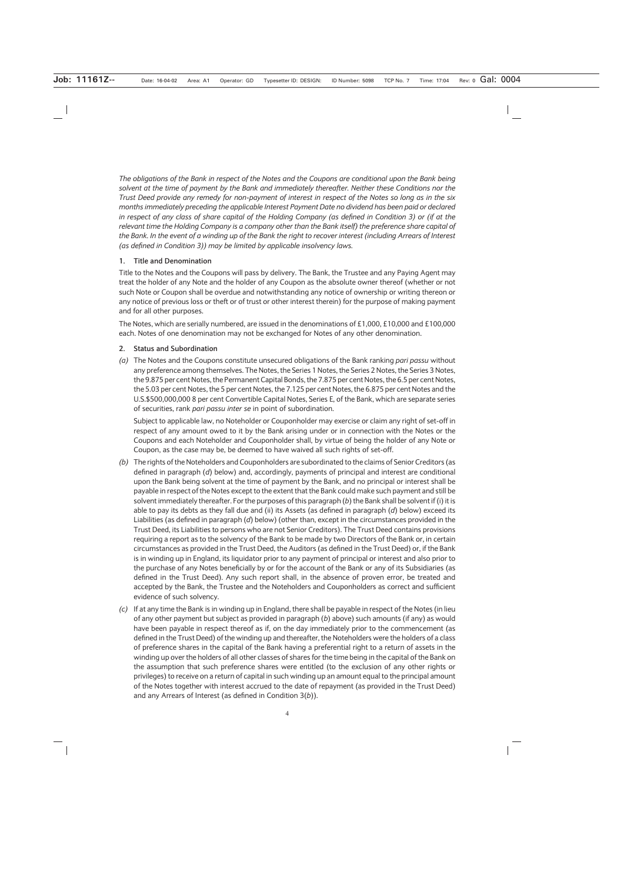*The obligations of the Bank in respect of the Notes and the Coupons are conditional upon the Bank being solvent at the time of payment by the Bank and immediately thereafter. Neither these Conditions nor the Trust Deed provide any remedy for non-payment of interest in respect of the Notes so long as in the six months immediately preceding the applicable Interest Payment Date no dividend has been paid or declared in respect of any class of share capital of the Holding Company (as defined in Condition 3) or (if at the relevant time the Holding Company is a company other than the Bank itself) the preference share capital of the Bank. In the event of a winding up of the Bank the right to recover interest (including Arrears of Interest (as defined in Condition 3)) may be limited by applicable insolvency laws.*

#### **1. Title and Denomination**

Title to the Notes and the Coupons will pass by delivery. The Bank, the Trustee and any Paying Agent may treat the holder of any Note and the holder of any Coupon as the absolute owner thereof (whether or not such Note or Coupon shall be overdue and notwithstanding any notice of ownership or writing thereon or any notice of previous loss or theft or of trust or other interest therein) for the purpose of making payment and for all other purposes.

The Notes, which are serially numbered, are issued in the denominations of £1,000, £10,000 and £100,000 each. Notes of one denomination may not be exchanged for Notes of any other denomination.

#### **2. Status and Subordination**

*(a)* The Notes and the Coupons constitute unsecured obligations of the Bank ranking *pari passu* without any preference among themselves. The Notes, the Series 1 Notes, the Series 2 Notes, the Series 3 Notes, the 9.875 per cent Notes, the Permanent Capital Bonds, the 7.875 per cent Notes, the 6.5 per cent Notes, the 5.03 per cent Notes, the 5 per cent Notes, the 7.125 per cent Notes, the 6.875 per cent Notes and the U.S.\$500,000,000 8 per cent Convertible Capital Notes, Series E, of the Bank, which are separate series of securities, rank *pari passu inter se* in point of subordination.

Subject to applicable law, no Noteholder or Couponholder may exercise or claim any right of set-off in respect of any amount owed to it by the Bank arising under or in connection with the Notes or the Coupons and each Noteholder and Couponholder shall, by virtue of being the holder of any Note or Coupon, as the case may be, be deemed to have waived all such rights of set-off.

- *(b)* The rights of the Noteholders and Couponholders are subordinated to the claims of Senior Creditors (as defined in paragraph (*d*) below) and, accordingly, payments of principal and interest are conditional upon the Bank being solvent at the time of payment by the Bank, and no principal or interest shall be payable in respect of the Notes except to the extent that the Bank could make such payment and still be solvent immediately thereafter. For the purposes of this paragraph (*b*) the Bank shall be solvent if (i) it is able to pay its debts as they fall due and (ii) its Assets (as defined in paragraph (*d*) below) exceed its Liabilities (as defined in paragraph (*d*) below) (other than, except in the circumstances provided in the Trust Deed, its Liabilities to persons who are not Senior Creditors). The Trust Deed contains provisions requiring a report as to the solvency of the Bank to be made by two Directors of the Bank or, in certain circumstances as provided in the Trust Deed, the Auditors (as defined in the Trust Deed) or, if the Bank is in winding up in England, its liquidator prior to any payment of principal or interest and also prior to the purchase of any Notes beneficially by or for the account of the Bank or any of its Subsidiaries (as defined in the Trust Deed). Any such report shall, in the absence of proven error, be treated and accepted by the Bank, the Trustee and the Noteholders and Couponholders as correct and sufficient evidence of such solvency.
- *(c)* If at any time the Bank is in winding up in England, there shall be payable in respect of the Notes (in lieu of any other payment but subject as provided in paragraph (*b*) above) such amounts (if any) as would have been payable in respect thereof as if, on the day immediately prior to the commencement (as defined in the Trust Deed) of the winding up and thereafter, the Noteholders were the holders of a class of preference shares in the capital of the Bank having a preferential right to a return of assets in the winding up over the holders of all other classes of shares for the time being in the capital of the Bank on the assumption that such preference shares were entitled (to the exclusion of any other rights or privileges) to receive on a return of capital in such winding up an amount equal to the principal amount of the Notes together with interest accrued to the date of repayment (as provided in the Trust Deed) and any Arrears of Interest (as defined in Condition 3(*b*)).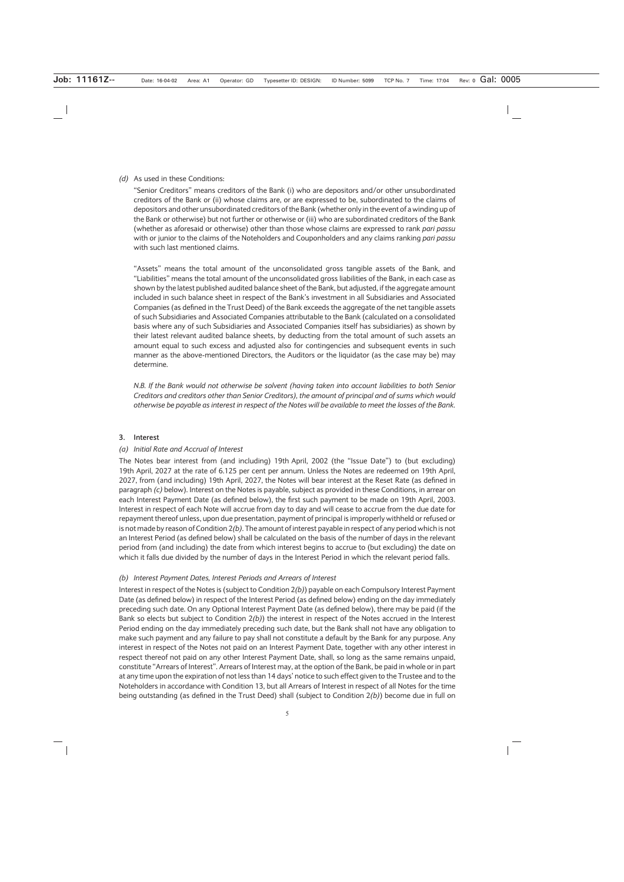#### *(d)* As used in these Conditions:

"Senior Creditors" means creditors of the Bank (i) who are depositors and/or other unsubordinated creditors of the Bank or (ii) whose claims are, or are expressed to be, subordinated to the claims of depositors and other unsubordinated creditors of the Bank (whether only in the event of a winding up of the Bank or otherwise) but not further or otherwise or (iii) who are subordinated creditors of the Bank (whether as aforesaid or otherwise) other than those whose claims are expressed to rank *pari passu* with or junior to the claims of the Noteholders and Couponholders and any claims ranking *pari passu* with such last mentioned claims.

"Assets" means the total amount of the unconsolidated gross tangible assets of the Bank, and "Liabilities" means the total amount of the unconsolidated gross liabilities of the Bank, in each case as shown by the latest published audited balance sheet of the Bank, but adjusted, if the aggregate amount included in such balance sheet in respect of the Bank's investment in all Subsidiaries and Associated Companies (as defined in the Trust Deed) of the Bank exceeds the aggregate of the net tangible assets of such Subsidiaries and Associated Companies attributable to the Bank (calculated on a consolidated basis where any of such Subsidiaries and Associated Companies itself has subsidiaries) as shown by their latest relevant audited balance sheets, by deducting from the total amount of such assets an amount equal to such excess and adjusted also for contingencies and subsequent events in such manner as the above-mentioned Directors, the Auditors or the liquidator (as the case may be) may determine.

*N.B. If the Bank would not otherwise be solvent (having taken into account liabilities to both Senior Creditors and creditors other than Senior Creditors), the amount of principal and of sums which would otherwise be payable as interest in respect of the Notes will be available to meet the losses of the Bank.*

#### **3. Interest**

#### *(a) Initial Rate and Accrual of Interest*

The Notes bear interest from (and including) 19th April, 2002 (the "Issue Date") to (but excluding) 19th April, 2027 at the rate of 6.125 per cent per annum. Unless the Notes are redeemed on 19th April, 2027, from (and including) 19th April, 2027, the Notes will bear interest at the Reset Rate (as defined in paragraph *(c)* below). Interest on the Notes is payable, subject as provided in these Conditions, in arrear on each Interest Payment Date (as defined below), the first such payment to be made on 19th April, 2003. Interest in respect of each Note will accrue from day to day and will cease to accrue from the due date for repayment thereof unless, upon due presentation, payment of principal is improperly withheld or refused or is not made by reason of Condition 2*(b)*. The amount of interest payable in respect of any period which is not an Interest Period (as defined below) shall be calculated on the basis of the number of days in the relevant period from (and including) the date from which interest begins to accrue to (but excluding) the date on which it falls due divided by the number of days in the Interest Period in which the relevant period falls.

#### *(b) Interest Payment Dates, Interest Periods and Arrears of Interest*

Interest in respect of the Notes is (subject to Condition 2*(b)*) payable on each Compulsory Interest Payment Date (as defined below) in respect of the Interest Period (as defined below) ending on the day immediately preceding such date. On any Optional Interest Payment Date (as defined below), there may be paid (if the Bank so elects but subject to Condition 2*(b)*) the interest in respect of the Notes accrued in the Interest Period ending on the day immediately preceding such date, but the Bank shall not have any obligation to make such payment and any failure to pay shall not constitute a default by the Bank for any purpose. Any interest in respect of the Notes not paid on an Interest Payment Date, together with any other interest in respect thereof not paid on any other Interest Payment Date, shall, so long as the same remains unpaid, constitute "Arrears of Interest". Arrears of Interest may, at the option of the Bank, be paid in whole or in part at any time upon the expiration of not less than 14 days' notice to such effect given to the Trustee and to the Noteholders in accordance with Condition 13, but all Arrears of Interest in respect of all Notes for the time being outstanding (as defined in the Trust Deed) shall (subject to Condition 2*(b)*) become due in full on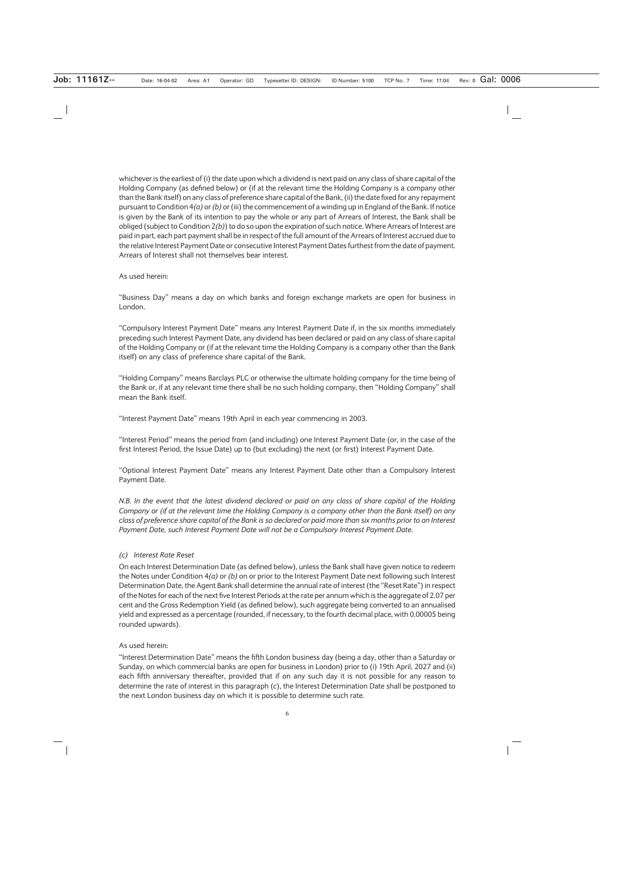whichever is the earliest of (i) the date upon which a dividend is next paid on any class of share capital of the Holding Company (as defined below) or (if at the relevant time the Holding Company is a company other than the Bank itself) on any class of preference share capital of the Bank, (ii) the date fixed for any repayment pursuant to Condition 4*(a)* or *(b)* or (iii) the commencement of a winding up in England of the Bank. If notice is given by the Bank of its intention to pay the whole or any part of Arrears of Interest, the Bank shall be obliged (subject to Condition 2*(b)*) to do so upon the expiration of such notice. Where Arrears of Interest are paid in part, each part payment shall be in respect of the full amount of the Arrears of Interest accrued due to the relative Interest Payment Date or consecutive Interest Payment Dates furthest from the date of payment. Arrears of Interest shall not themselves bear interest.

#### As used herein:

"Business Day" means a day on which banks and foreign exchange markets are open for business in London.

"Compulsory Interest Payment Date" means any Interest Payment Date if, in the six months immediately preceding such Interest Payment Date, any dividend has been declared or paid on any class of share capital of the Holding Company or (if at the relevant time the Holding Company is a company other than the Bank itself) on any class of preference share capital of the Bank.

"Holding Company" means Barclays PLC or otherwise the ultimate holding company for the time being of the Bank or, if at any relevant time there shall be no such holding company, then "Holding Company" shall mean the Bank itself.

"Interest Payment Date" means 19th April in each year commencing in 2003.

"Interest Period" means the period from (and including) one Interest Payment Date (or, in the case of the first Interest Period, the Issue Date) up to (but excluding) the next (or first) Interest Payment Date.

"Optional Interest Payment Date" means any Interest Payment Date other than a Compulsory Interest Payment Date.

*N.B. In the event that the latest dividend declared or paid on any class of share capital of the Holding Company or (if at the relevant time the Holding Company is a company other than the Bank itself) on any class of preference share capital of the Bank is so declared or paid more than six months prior to an Interest Payment Date, such Interest Payment Date will not be a Compulsory Interest Payment Date.*

#### *(c) Interest Rate Reset*

On each Interest Determination Date (as defined below), unless the Bank shall have given notice to redeem the Notes under Condition 4*(a)* or *(b)* on or prior to the Interest Payment Date next following such Interest Determination Date, the Agent Bank shall determine the annual rate of interest (the "Reset Rate") in respect of the Notes for each of the next five Interest Periods at the rate per annum which is the aggregate of 2.07 per cent and the Gross Redemption Yield (as defined below), such aggregate being converted to an annualised yield and expressed as a percentage (rounded, if necessary, to the fourth decimal place, with 0.00005 being rounded upwards).

#### As used herein:

"Interest Determination Date" means the fifth London business day (being a day, other than a Saturday or Sunday, on which commercial banks are open for business in London) prior to (i) 19th April, 2027 and (ii) each fifth anniversary thereafter, provided that if on any such day it is not possible for any reason to determine the rate of interest in this paragraph (*c*), the Interest Determination Date shall be postponed to the next London business day on which it is possible to determine such rate.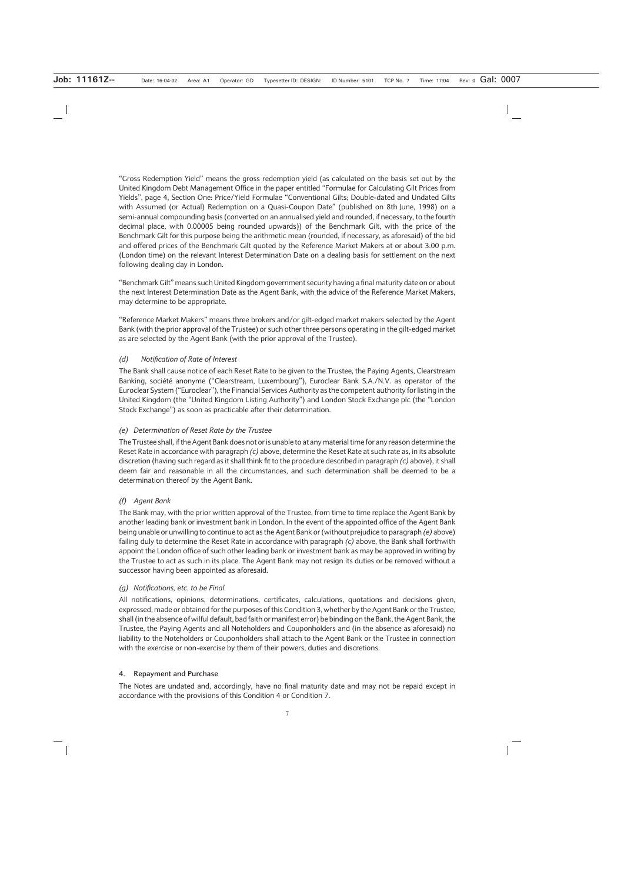"Gross Redemption Yield" means the gross redemption yield (as calculated on the basis set out by the United Kingdom Debt Management Office in the paper entitled "Formulae for Calculating Gilt Prices from Yields", page 4, Section One: Price/Yield Formulae "Conventional Gilts; Double-dated and Undated Gilts with Assumed (or Actual) Redemption on a Quasi-Coupon Date" (published on 8th June, 1998) on a semi-annual compounding basis (converted on an annualised yield and rounded, if necessary, to the fourth decimal place, with 0.00005 being rounded upwards)) of the Benchmark Gilt, with the price of the Benchmark Gilt for this purpose being the arithmetic mean (rounded, if necessary, as aforesaid) of the bid and offered prices of the Benchmark Gilt quoted by the Reference Market Makers at or about 3.00 p.m. (London time) on the relevant Interest Determination Date on a dealing basis for settlement on the next following dealing day in London.

"Benchmark Gilt" means such United Kingdom government security having a final maturity date on or about the next Interest Determination Date as the Agent Bank, with the advice of the Reference Market Makers, may determine to be appropriate.

"Reference Market Makers" means three brokers and/or gilt-edged market makers selected by the Agent Bank (with the prior approval of the Trustee) or such other three persons operating in the gilt-edged market as are selected by the Agent Bank (with the prior approval of the Trustee).

#### *(d) Notification of Rate of Interest*

The Bank shall cause notice of each Reset Rate to be given to the Trustee, the Paying Agents, Clearstream Banking, société anonyme ("Clearstream, Luxembourg"), Euroclear Bank S.A./N.V. as operator of the Euroclear System ("Euroclear"), the Financial Services Authority as the competent authority for listing in the United Kingdom (the "United Kingdom Listing Authority") and London Stock Exchange plc (the "London Stock Exchange") as soon as practicable after their determination.

#### *(e) Determination of Reset Rate by the Trustee*

The Trustee shall, if the Agent Bank does not or is unable to at any material time for any reason determine the Reset Rate in accordance with paragraph *(c)* above, determine the Reset Rate at such rate as, in its absolute discretion (having such regard as it shall think fit to the procedure described in paragraph *(c)* above), it shall deem fair and reasonable in all the circumstances, and such determination shall be deemed to be a determination thereof by the Agent Bank.

#### *(f) Agent Bank*

The Bank may, with the prior written approval of the Trustee, from time to time replace the Agent Bank by another leading bank or investment bank in London. In the event of the appointed office of the Agent Bank being unable or unwilling to continue to act as the Agent Bank or (without prejudice to paragraph *(e)* above) failing duly to determine the Reset Rate in accordance with paragraph *(c)* above, the Bank shall forthwith appoint the London office of such other leading bank or investment bank as may be approved in writing by the Trustee to act as such in its place. The Agent Bank may not resign its duties or be removed without a successor having been appointed as aforesaid.

#### *(g) Notifications, etc. to be Final*

All notifications, opinions, determinations, certificates, calculations, quotations and decisions given, expressed, made or obtained for the purposes of this Condition 3, whether by the Agent Bank or the Trustee, shall (in the absence of wilful default, bad faith or manifest error) be binding on the Bank, the Agent Bank, the Trustee, the Paying Agents and all Noteholders and Couponholders and (in the absence as aforesaid) no liability to the Noteholders or Couponholders shall attach to the Agent Bank or the Trustee in connection with the exercise or non-exercise by them of their powers, duties and discretions.

#### **4. Repayment and Purchase**

The Notes are undated and, accordingly, have no final maturity date and may not be repaid except in accordance with the provisions of this Condition 4 or Condition 7.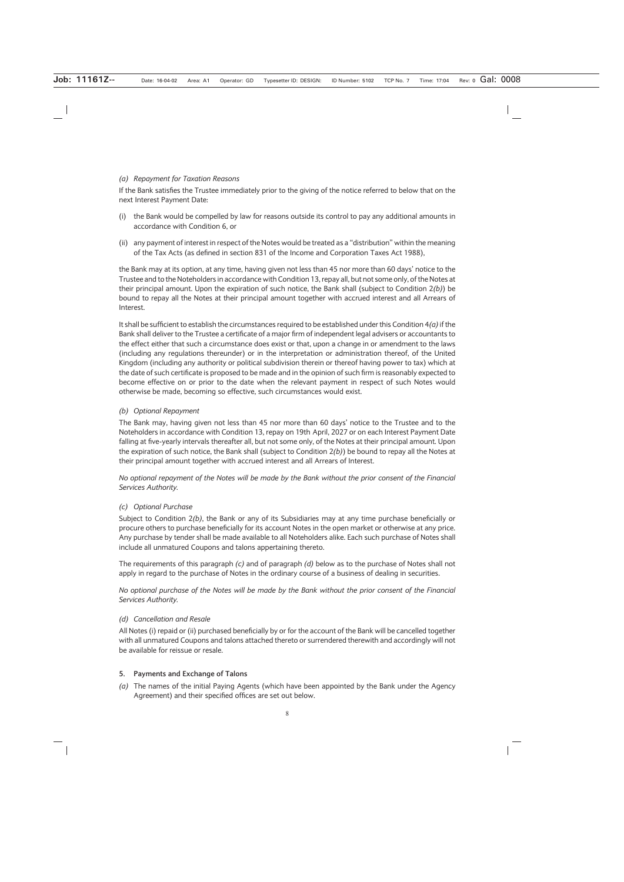#### *(a) Repayment for Taxation Reasons*

If the Bank satisfies the Trustee immediately prior to the giving of the notice referred to below that on the next Interest Payment Date:

- (i) the Bank would be compelled by law for reasons outside its control to pay any additional amounts in accordance with Condition 6, or
- (ii) any payment of interest in respect of the Notes would be treated as a "distribution" within the meaning of the Tax Acts (as defined in section 831 of the Income and Corporation Taxes Act 1988),

the Bank may at its option, at any time, having given not less than 45 nor more than 60 days' notice to the Trustee and to the Noteholders in accordance with Condition 13, repay all, but not some only, of the Notes at their principal amount. Upon the expiration of such notice, the Bank shall (subject to Condition 2*(b)*) be bound to repay all the Notes at their principal amount together with accrued interest and all Arrears of Interest.

It shall be sufficient to establish the circumstances required to be established under this Condition 4*(a)*if the Bank shall deliver to the Trustee a certificate of a major firm of independent legal advisers or accountants to the effect either that such a circumstance does exist or that, upon a change in or amendment to the laws (including any regulations thereunder) or in the interpretation or administration thereof, of the United Kingdom (including any authority or political subdivision therein or thereof having power to tax) which at the date of such certificate is proposed to be made and in the opinion of such firm is reasonably expected to become effective on or prior to the date when the relevant payment in respect of such Notes would otherwise be made, becoming so effective, such circumstances would exist.

#### *(b) Optional Repayment*

The Bank may, having given not less than 45 nor more than 60 days' notice to the Trustee and to the Noteholders in accordance with Condition 13, repay on 19th April, 2027 or on each Interest Payment Date falling at five-yearly intervals thereafter all, but not some only, of the Notes at their principal amount. Upon the expiration of such notice, the Bank shall (subject to Condition 2*(b)*) be bound to repay all the Notes at their principal amount together with accrued interest and all Arrears of Interest.

*No optional repayment of the Notes will be made by the Bank without the prior consent of the Financial Services Authority.*

#### *(c) Optional Purchase*

Subject to Condition 2*(b)*, the Bank or any of its Subsidiaries may at any time purchase beneficially or procure others to purchase beneficially for its account Notes in the open market or otherwise at any price. Any purchase by tender shall be made available to all Noteholders alike. Each such purchase of Notes shall include all unmatured Coupons and talons appertaining thereto.

The requirements of this paragraph *(c)* and of paragraph *(d)* below as to the purchase of Notes shall not apply in regard to the purchase of Notes in the ordinary course of a business of dealing in securities.

*No optional purchase of the Notes will be made by the Bank without the prior consent of the Financial Services Authority.*

#### *(d) Cancellation and Resale*

All Notes (i) repaid or (ii) purchased beneficially by or for the account of the Bank will be cancelled together with all unmatured Coupons and talons attached thereto or surrendered therewith and accordingly will not be available for reissue or resale.

#### **5. Payments and Exchange of Talons**

*(a)* The names of the initial Paying Agents (which have been appointed by the Bank under the Agency Agreement) and their specified offices are set out below.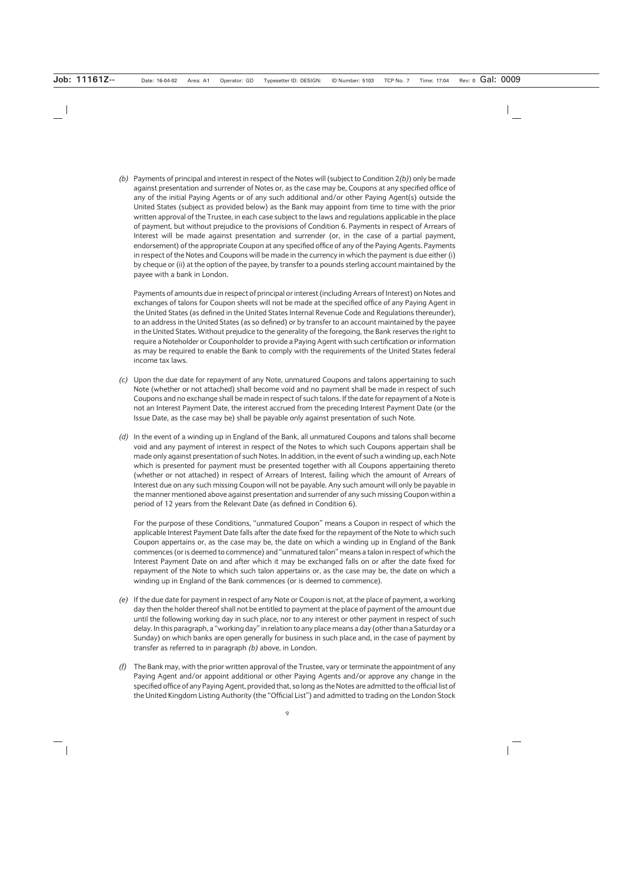*(b)* Payments of principal and interest in respect of the Notes will (subject to Condition 2*(b)*) only be made against presentation and surrender of Notes or, as the case may be, Coupons at any specified office of any of the initial Paying Agents or of any such additional and/or other Paying Agent(s) outside the United States (subject as provided below) as the Bank may appoint from time to time with the prior written approval of the Trustee, in each case subject to the laws and regulations applicable in the place of payment, but without prejudice to the provisions of Condition 6. Payments in respect of Arrears of Interest will be made against presentation and surrender (or, in the case of a partial payment, endorsement) of the appropriate Coupon at any specified office of any of the Paying Agents. Payments in respect of the Notes and Coupons will be made in the currency in which the payment is due either (i) by cheque or (ii) at the option of the payee, by transfer to a pounds sterling account maintained by the payee with a bank in London.

Payments of amounts due in respect of principal or interest (including Arrears of Interest) on Notes and exchanges of talons for Coupon sheets will not be made at the specified office of any Paying Agent in the United States (as defined in the United States Internal Revenue Code and Regulations thereunder), to an address in the United States (as so defined) or by transfer to an account maintained by the payee in the United States. Without prejudice to the generality of the foregoing, the Bank reserves the right to require a Noteholder or Couponholder to provide a Paying Agent with such certification or information as may be required to enable the Bank to comply with the requirements of the United States federal income tax laws.

- *(c)* Upon the due date for repayment of any Note, unmatured Coupons and talons appertaining to such Note (whether or not attached) shall become void and no payment shall be made in respect of such Coupons and no exchange shall be made in respect of such talons. If the date for repayment of a Note is not an Interest Payment Date, the interest accrued from the preceding Interest Payment Date (or the Issue Date, as the case may be) shall be payable only against presentation of such Note.
- *(d)* In the event of a winding up in England of the Bank, all unmatured Coupons and talons shall become void and any payment of interest in respect of the Notes to which such Coupons appertain shall be made only against presentation of such Notes. In addition, in the event of such a winding up, each Note which is presented for payment must be presented together with all Coupons appertaining thereto (whether or not attached) in respect of Arrears of Interest, failing which the amount of Arrears of Interest due on any such missing Coupon will not be payable. Any such amount will only be payable in the manner mentioned above against presentation and surrender of any such missing Coupon within a period of 12 years from the Relevant Date (as defined in Condition 6).

For the purpose of these Conditions, "unmatured Coupon" means a Coupon in respect of which the applicable Interest Payment Date falls after the date fixed for the repayment of the Note to which such Coupon appertains or, as the case may be, the date on which a winding up in England of the Bank commences (or is deemed to commence) and "unmatured talon" means a talon in respect of which the Interest Payment Date on and after which it may be exchanged falls on or after the date fixed for repayment of the Note to which such talon appertains or, as the case may be, the date on which a winding up in England of the Bank commences (or is deemed to commence).

- *(e)* If the due date for payment in respect of any Note or Coupon is not, at the place of payment, a working day then the holder thereof shall not be entitled to payment at the place of payment of the amount due until the following working day in such place, nor to any interest or other payment in respect of such delay. In this paragraph, a "working day" in relation to any place means a day (other than a Saturday or a Sunday) on which banks are open generally for business in such place and, in the case of payment by transfer as referred to in paragraph *(b)* above, in London.
- *(f)* The Bank may, with the prior written approval of the Trustee, vary or terminate the appointment of any Paying Agent and/or appoint additional or other Paying Agents and/or approve any change in the specified office of any Paying Agent, provided that, so long as the Notes are admitted to the official list of the United Kingdom Listing Authority (the "Official List") and admitted to trading on the London Stock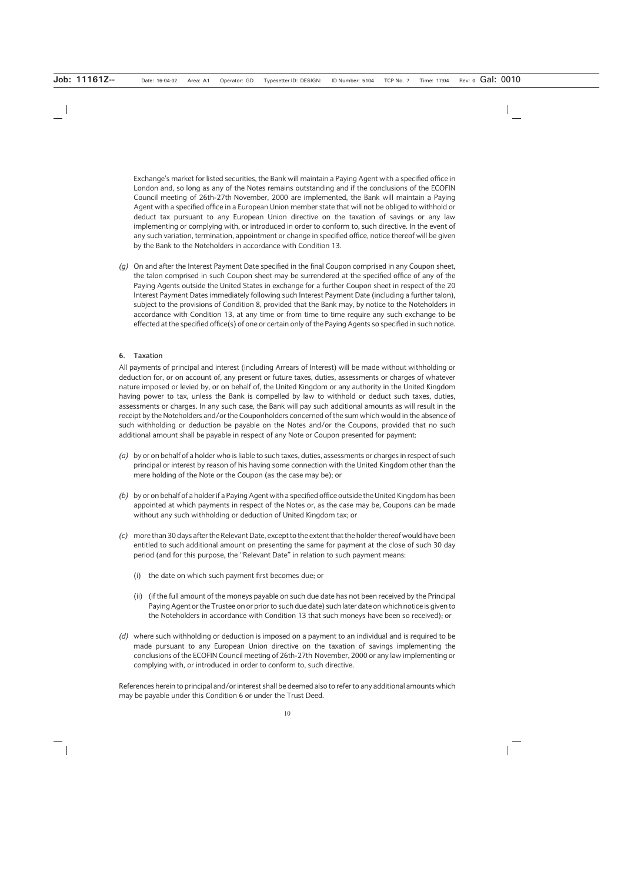Exchange's market for listed securities, the Bank will maintain a Paying Agent with a specified office in London and, so long as any of the Notes remains outstanding and if the conclusions of the ECOFIN Council meeting of 26th-27th November, 2000 are implemented, the Bank will maintain a Paying Agent with a specified office in a European Union member state that will not be obliged to withhold or deduct tax pursuant to any European Union directive on the taxation of savings or any law implementing or complying with, or introduced in order to conform to, such directive. In the event of any such variation, termination, appointment or change in specified office, notice thereof will be given by the Bank to the Noteholders in accordance with Condition 13.

*(g)* On and after the Interest Payment Date specified in the final Coupon comprised in any Coupon sheet, the talon comprised in such Coupon sheet may be surrendered at the specified office of any of the Paying Agents outside the United States in exchange for a further Coupon sheet in respect of the 20 Interest Payment Dates immediately following such Interest Payment Date (including a further talon), subject to the provisions of Condition 8, provided that the Bank may, by notice to the Noteholders in accordance with Condition 13, at any time or from time to time require any such exchange to be effected at the specified office(s) of one or certain only of the Paying Agents so specified in such notice.

#### **6. Taxation**

All payments of principal and interest (including Arrears of Interest) will be made without withholding or deduction for, or on account of, any present or future taxes, duties, assessments or charges of whatever nature imposed or levied by, or on behalf of, the United Kingdom or any authority in the United Kingdom having power to tax, unless the Bank is compelled by law to withhold or deduct such taxes, duties, assessments or charges. In any such case, the Bank will pay such additional amounts as will result in the receipt by the Noteholders and/or the Couponholders concerned of the sum which would in the absence of such withholding or deduction be payable on the Notes and/or the Coupons, provided that no such additional amount shall be payable in respect of any Note or Coupon presented for payment:

- *(a)* by or on behalf of a holder who is liable to such taxes, duties, assessments or charges in respect of such principal or interest by reason of his having some connection with the United Kingdom other than the mere holding of the Note or the Coupon (as the case may be); or
- *(b)* by or on behalf of a holder if a Paying Agent with a specified office outside the United Kingdom has been appointed at which payments in respect of the Notes or, as the case may be, Coupons can be made without any such withholding or deduction of United Kingdom tax; or
- *(c)* more than 30 days after the Relevant Date, except to the extent that the holder thereof would have been entitled to such additional amount on presenting the same for payment at the close of such 30 day period (and for this purpose, the "Relevant Date" in relation to such payment means:
	- (i) the date on which such payment first becomes due; or
	- (ii) (if the full amount of the moneys payable on such due date has not been received by the Principal Paying Agent or the Trustee on or prior to such due date) such later date on which notice is given to the Noteholders in accordance with Condition 13 that such moneys have been so received); or
- *(d)* where such withholding or deduction is imposed on a payment to an individual and is required to be made pursuant to any European Union directive on the taxation of savings implementing the conclusions of the ECOFIN Council meeting of 26th-27th November, 2000 or any law implementing or complying with, or introduced in order to conform to, such directive.

References herein to principal and/or interest shall be deemed also to refer to any additional amounts which may be payable under this Condition 6 or under the Trust Deed.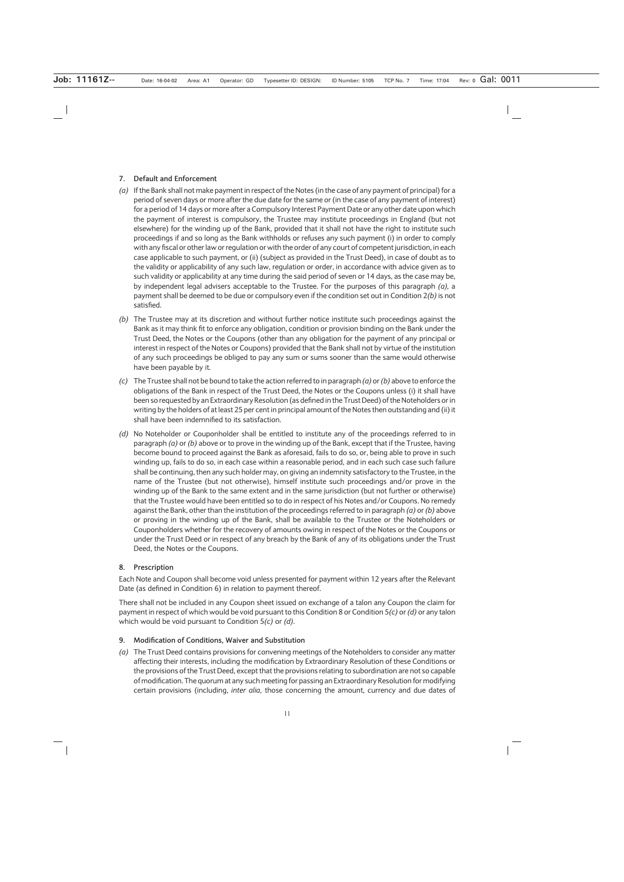#### **7. Default and Enforcement**

- *(a)* If the Bank shall not make payment in respect of the Notes (in the case of any payment of principal) for a period of seven days or more after the due date for the same or (in the case of any payment of interest) for a period of 14 days or more after a Compulsory Interest Payment Date or any other date upon which the payment of interest is compulsory, the Trustee may institute proceedings in England (but not elsewhere) for the winding up of the Bank, provided that it shall not have the right to institute such proceedings if and so long as the Bank withholds or refuses any such payment (i) in order to comply with any fiscal or other law or regulation or with the order of any court of competent jurisdiction, in each case applicable to such payment, or (ii) (subject as provided in the Trust Deed), in case of doubt as to the validity or applicability of any such law, regulation or order, in accordance with advice given as to such validity or applicability at any time during the said period of seven or 14 days, as the case may be, by independent legal advisers acceptable to the Trustee. For the purposes of this paragraph *(a),* a payment shall be deemed to be due or compulsory even if the condition set out in Condition 2*(b)* is not satisfied.
- *(b)* The Trustee may at its discretion and without further notice institute such proceedings against the Bank as it may think fit to enforce any obligation, condition or provision binding on the Bank under the Trust Deed, the Notes or the Coupons (other than any obligation for the payment of any principal or interest in respect of the Notes or Coupons) provided that the Bank shall not by virtue of the institution of any such proceedings be obliged to pay any sum or sums sooner than the same would otherwise have been payable by it.
- *(c)* The Trustee shall not be bound to take the action referred to in paragraph *(a)* or *(b)* above to enforce the obligations of the Bank in respect of the Trust Deed, the Notes or the Coupons unless (i) it shall have been so requested by an Extraordinary Resolution (as defined in the Trust Deed) of the Noteholders or in writing by the holders of at least 25 per cent in principal amount of the Notes then outstanding and (ii) it shall have been indemnified to its satisfaction.
- *(d)* No Noteholder or Couponholder shall be entitled to institute any of the proceedings referred to in paragraph *(a)* or *(b)* above or to prove in the winding up of the Bank, except that if the Trustee, having become bound to proceed against the Bank as aforesaid, fails to do so, or, being able to prove in such winding up, fails to do so, in each case within a reasonable period, and in each such case such failure shall be continuing, then any such holder may, on giving an indemnity satisfactory to the Trustee, in the name of the Trustee (but not otherwise), himself institute such proceedings and/or prove in the winding up of the Bank to the same extent and in the same jurisdiction (but not further or otherwise) that the Trustee would have been entitled so to do in respect of his Notes and/or Coupons. No remedy against the Bank, other than the institution of the proceedings referred to in paragraph *(a)* or *(b)* above or proving in the winding up of the Bank, shall be available to the Trustee or the Noteholders or Couponholders whether for the recovery of amounts owing in respect of the Notes or the Coupons or under the Trust Deed or in respect of any breach by the Bank of any of its obligations under the Trust Deed, the Notes or the Coupons.

#### **8. Prescription**

Each Note and Coupon shall become void unless presented for payment within 12 years after the Relevant Date (as defined in Condition 6) in relation to payment thereof.

There shall not be included in any Coupon sheet issued on exchange of a talon any Coupon the claim for payment in respect of which would be void pursuant to this Condition 8 or Condition 5*(c)* or *(d)* or any talon which would be void pursuant to Condition 5*(c)* or *(d)*.

#### **9. Modification of Conditions, Waiver and Substitution**

*(a)* The Trust Deed contains provisions for convening meetings of the Noteholders to consider any matter affecting their interests, including the modification by Extraordinary Resolution of these Conditions or the provisions of the Trust Deed, except that the provisions relating to subordination are not so capable of modification. The quorum at any such meeting for passing an Extraordinary Resolution for modifying certain provisions (including, *inter alia*, those concerning the amount, currency and due dates of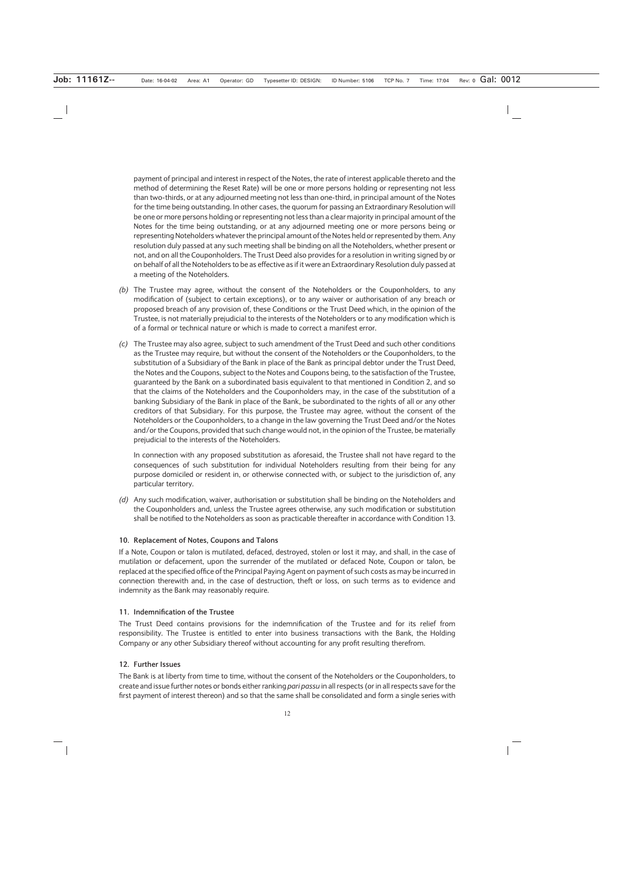payment of principal and interest in respect of the Notes, the rate of interest applicable thereto and the method of determining the Reset Rate) will be one or more persons holding or representing not less than two-thirds, or at any adjourned meeting not less than one-third, in principal amount of the Notes for the time being outstanding. In other cases, the quorum for passing an Extraordinary Resolution will be one or more persons holding or representing not less than a clear majority in principal amount of the Notes for the time being outstanding, or at any adjourned meeting one or more persons being or representing Noteholders whatever the principal amount of the Notes held or represented by them. Any resolution duly passed at any such meeting shall be binding on all the Noteholders, whether present or not, and on all the Couponholders. The Trust Deed also provides for a resolution in writing signed by or on behalf of all the Noteholders to be as effective as if it were an Extraordinary Resolution duly passed at a meeting of the Noteholders.

- *(b)* The Trustee may agree, without the consent of the Noteholders or the Couponholders, to any modification of (subject to certain exceptions), or to any waiver or authorisation of any breach or proposed breach of any provision of, these Conditions or the Trust Deed which, in the opinion of the Trustee, is not materially prejudicial to the interests of the Noteholders or to any modification which is of a formal or technical nature or which is made to correct a manifest error.
- *(c)* The Trustee may also agree, subject to such amendment of the Trust Deed and such other conditions as the Trustee may require, but without the consent of the Noteholders or the Couponholders, to the substitution of a Subsidiary of the Bank in place of the Bank as principal debtor under the Trust Deed, the Notes and the Coupons, subject to the Notes and Coupons being, to the satisfaction of the Trustee, guaranteed by the Bank on a subordinated basis equivalent to that mentioned in Condition 2, and so that the claims of the Noteholders and the Couponholders may, in the case of the substitution of a banking Subsidiary of the Bank in place of the Bank, be subordinated to the rights of all or any other creditors of that Subsidiary. For this purpose, the Trustee may agree, without the consent of the Noteholders or the Couponholders, to a change in the law governing the Trust Deed and/or the Notes and/or the Coupons, provided that such change would not, in the opinion of the Trustee, be materially prejudicial to the interests of the Noteholders.

In connection with any proposed substitution as aforesaid, the Trustee shall not have regard to the consequences of such substitution for individual Noteholders resulting from their being for any purpose domiciled or resident in, or otherwise connected with, or subject to the jurisdiction of, any particular territory.

*(d)* Any such modification, waiver, authorisation or substitution shall be binding on the Noteholders and the Couponholders and, unless the Trustee agrees otherwise, any such modification or substitution shall be notified to the Noteholders as soon as practicable thereafter in accordance with Condition 13.

#### **10. Replacement of Notes, Coupons and Talons**

If a Note, Coupon or talon is mutilated, defaced, destroyed, stolen or lost it may, and shall, in the case of mutilation or defacement, upon the surrender of the mutilated or defaced Note, Coupon or talon, be replaced at the specified office of the Principal Paying Agent on payment of such costs as may be incurred in connection therewith and, in the case of destruction, theft or loss, on such terms as to evidence and indemnity as the Bank may reasonably require.

#### **11. Indemnification of the Trustee**

The Trust Deed contains provisions for the indemnification of the Trustee and for its relief from responsibility. The Trustee is entitled to enter into business transactions with the Bank, the Holding Company or any other Subsidiary thereof without accounting for any profit resulting therefrom.

#### **12. Further Issues**

The Bank is at liberty from time to time, without the consent of the Noteholders or the Couponholders, to create and issue further notes or bonds either ranking *pari passu* in all respects (or in all respects save for the first payment of interest thereon) and so that the same shall be consolidated and form a single series with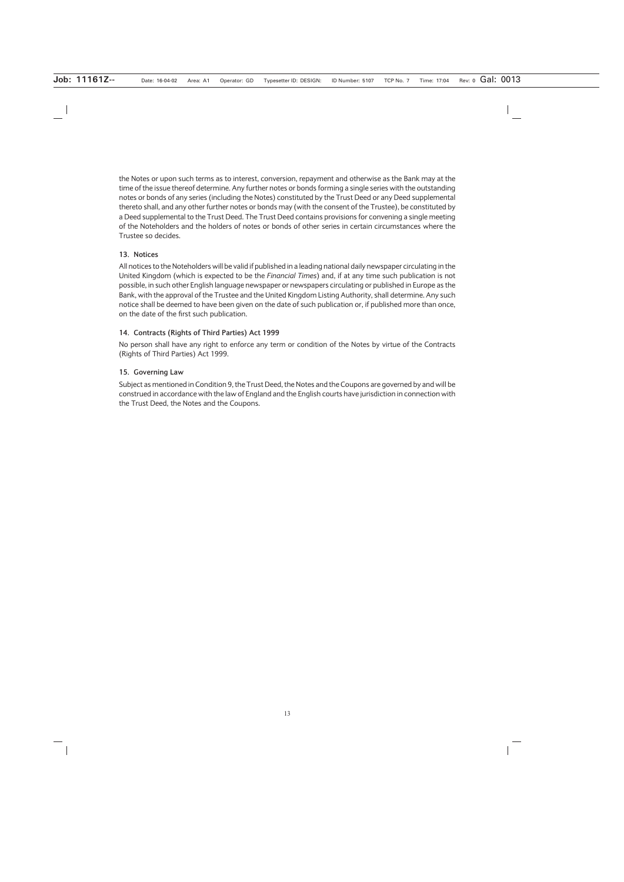the Notes or upon such terms as to interest, conversion, repayment and otherwise as the Bank may at the time of the issue thereof determine. Any further notes or bonds forming a single series with the outstanding notes or bonds of any series (including the Notes) constituted by the Trust Deed or any Deed supplemental thereto shall, and any other further notes or bonds may (with the consent of the Trustee), be constituted by a Deed supplemental to the Trust Deed. The Trust Deed contains provisions for convening a single meeting of the Noteholders and the holders of notes or bonds of other series in certain circumstances where the Trustee so decides.

#### **13. Notices**

All notices to the Noteholders will be valid if published in a leading national daily newspaper circulating in the United Kingdom (which is expected to be the *Financial Times*) and, if at any time such publication is not possible, in such other English language newspaper or newspapers circulating or published in Europe as the Bank, with the approval of the Trustee and the United Kingdom Listing Authority, shall determine. Any such notice shall be deemed to have been given on the date of such publication or, if published more than once, on the date of the first such publication.

#### **14. Contracts (Rights of Third Parties) Act 1999**

No person shall have any right to enforce any term or condition of the Notes by virtue of the Contracts (Rights of Third Parties) Act 1999.

#### **15. Governing Law**

Subject as mentioned in Condition 9, the Trust Deed, the Notes and the Coupons are governed by and will be construed in accordance with the law of England and the English courts have jurisdiction in connection with the Trust Deed, the Notes and the Coupons.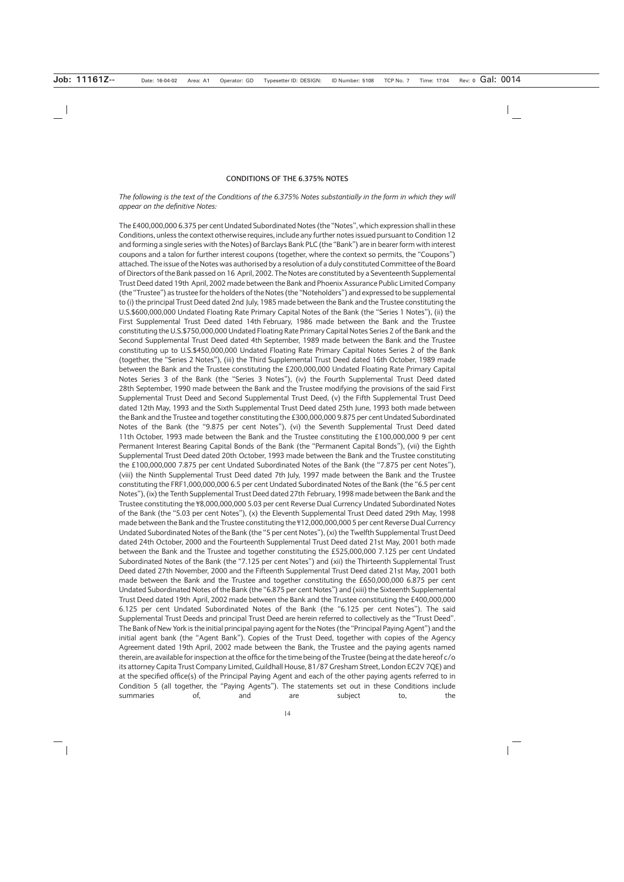#### **CONDITIONS OF THE 6.375% NOTES**

#### *The following is the text of the Conditions of the 6.375% Notes substantially in the form in which they will appear on the definitive Notes:*

The £400,000,000 6.375 per cent Undated Subordinated Notes (the "Notes", which expression shall in these Conditions, unless the context otherwise requires, include any further notes issued pursuant to Condition 12 and forming a single series with the Notes) of Barclays Bank PLC (the "Bank") are in bearer form with interest coupons and a talon for further interest coupons (together, where the context so permits, the "Coupons") attached. The issue of the Notes was authorised by a resolution of a duly constituted Committee of the Board of Directors of the Bank passed on 16 April, 2002. The Notes are constituted by a Seventeenth Supplemental Trust Deed dated 19th April, 2002 made between the Bank and Phoenix Assurance Public Limited Company (the "Trustee") as trustee for the holders of the Notes (the "Noteholders") and expressed to be supplemental to (i) the principal Trust Deed dated 2nd July, 1985 made between the Bank and the Trustee constituting the U.S.\$600,000,000 Undated Floating Rate Primary Capital Notes of the Bank (the "Series 1 Notes"), (ii) the First Supplemental Trust Deed dated 14th February, 1986 made between the Bank and the Trustee constituting the U.S.\$750,000,000 Undated Floating Rate Primary Capital Notes Series 2 of the Bank and the Second Supplemental Trust Deed dated 4th September, 1989 made between the Bank and the Trustee constituting up to U.S.\$450,000,000 Undated Floating Rate Primary Capital Notes Series 2 of the Bank (together, the "Series 2 Notes"), (iii) the Third Supplemental Trust Deed dated 16th October, 1989 made between the Bank and the Trustee constituting the £200,000,000 Undated Floating Rate Primary Capital Notes Series 3 of the Bank (the "Series 3 Notes"), (iv) the Fourth Supplemental Trust Deed dated 28th September, 1990 made between the Bank and the Trustee modifying the provisions of the said First Supplemental Trust Deed and Second Supplemental Trust Deed, (v) the Fifth Supplemental Trust Deed dated 12th May, 1993 and the Sixth Supplemental Trust Deed dated 25th June, 1993 both made between the Bank and the Trustee and together constituting the £300,000,000 9.875 per cent Undated Subordinated Notes of the Bank (the "9.875 per cent Notes"), (vi) the Seventh Supplemental Trust Deed dated 11th October, 1993 made between the Bank and the Trustee constituting the £100,000,000 9 per cent Permanent Interest Bearing Capital Bonds of the Bank (the "Permanent Capital Bonds"), (vii) the Eighth Supplemental Trust Deed dated 20th October, 1993 made between the Bank and the Trustee constituting the £100,000,000 7.875 per cent Undated Subordinated Notes of the Bank (the "7.875 per cent Notes"), (viii) the Ninth Supplemental Trust Deed dated 7th July, 1997 made between the Bank and the Trustee constituting the FRF1,000,000,000 6.5 per cent Undated Subordinated Notes of the Bank (the "6.5 per cent Notes"), (ix) the Tenth Supplemental Trust Deed dated 27th February, 1998 made between the Bank and the Trustee constituting the ¥8,000,000,000 5.03 per cent Reverse Dual Currency Undated Subordinated Notes of the Bank (the "5.03 per cent Notes"), (x) the Eleventh Supplemental Trust Deed dated 29th May, 1998 made between the Bank and the Trustee constituting the ¥12,000,000,000 5 per cent Reverse Dual Currency Undated Subordinated Notes of the Bank (the "5 per cent Notes"), (xi) the Twelfth Supplemental Trust Deed dated 24th October, 2000 and the Fourteenth Supplemental Trust Deed dated 21st May, 2001 both made between the Bank and the Trustee and together constituting the £525,000,000 7.125 per cent Undated Subordinated Notes of the Bank (the "7.125 per cent Notes") and (xii) the Thirteenth Supplemental Trust Deed dated 27th November, 2000 and the Fifteenth Supplemental Trust Deed dated 21st May, 2001 both made between the Bank and the Trustee and together constituting the £650,000,000 6.875 per cent Undated Subordinated Notes of the Bank (the "6.875 per cent Notes") and (xiii) the Sixteenth Supplemental Trust Deed dated 19th April, 2002 made between the Bank and the Trustee constituting the £400,000,000 6.125 per cent Undated Subordinated Notes of the Bank (the "6.125 per cent Notes"). The said Supplemental Trust Deeds and principal Trust Deed are herein referred to collectively as the "Trust Deed". The Bank of New York is the initial principal paying agent for the Notes (the "Principal Paying Agent") and the initial agent bank (the "Agent Bank"). Copies of the Trust Deed, together with copies of the Agency Agreement dated 19th April, 2002 made between the Bank, the Trustee and the paying agents named therein, are available for inspection at the office for the time being of the Trustee (being at the date hereof c/o its attorney Capita Trust Company Limited, Guildhall House, 81/87 Gresham Street, London EC2V 7QE) and at the specified office(s) of the Principal Paying Agent and each of the other paying agents referred to in Condition 5 (all together, the "Paying Agents"). The statements set out in these Conditions include summaries of, and are subject to, the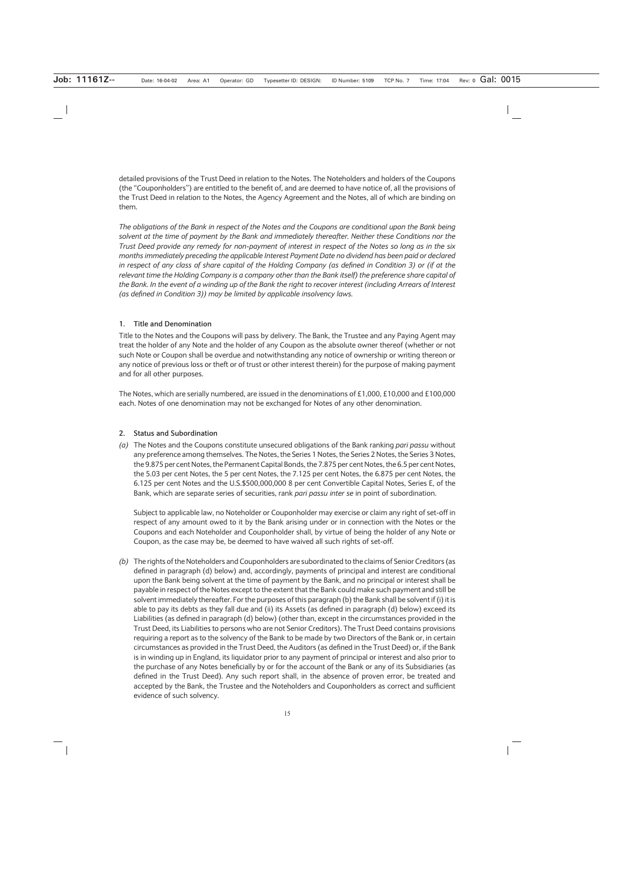detailed provisions of the Trust Deed in relation to the Notes. The Noteholders and holders of the Coupons (the "Couponholders") are entitled to the benefit of, and are deemed to have notice of, all the provisions of the Trust Deed in relation to the Notes, the Agency Agreement and the Notes, all of which are binding on them.

*The obligations of the Bank in respect of the Notes and the Coupons are conditional upon the Bank being solvent at the time of payment by the Bank and immediately thereafter. Neither these Conditions nor the Trust Deed provide any remedy for non-payment of interest in respect of the Notes so long as in the six months immediately preceding the applicable Interest Payment Date no dividend has been paid or declared in respect of any class of share capital of the Holding Company (as defined in Condition 3) or (if at the relevant time the Holding Company is a company other than the Bank itself) the preference share capital of the Bank. In the event of a winding up of the Bank the right to recover interest (including Arrears of Interest (as defined in Condition 3)) may be limited by applicable insolvency laws.*

#### **1. Title and Denomination**

Title to the Notes and the Coupons will pass by delivery. The Bank, the Trustee and any Paying Agent may treat the holder of any Note and the holder of any Coupon as the absolute owner thereof (whether or not such Note or Coupon shall be overdue and notwithstanding any notice of ownership or writing thereon or any notice of previous loss or theft or of trust or other interest therein) for the purpose of making payment and for all other purposes.

The Notes, which are serially numbered, are issued in the denominations of £1,000, £10,000 and £100,000 each. Notes of one denomination may not be exchanged for Notes of any other denomination.

#### **2. Status and Subordination**

*(a)* The Notes and the Coupons constitute unsecured obligations of the Bank ranking *pari passu* without any preference among themselves. The Notes, the Series 1 Notes, the Series 2 Notes, the Series 3 Notes, the 9.875 per cent Notes, the Permanent Capital Bonds, the 7.875 per cent Notes, the 6.5 per cent Notes, the 5.03 per cent Notes, the 5 per cent Notes, the 7.125 per cent Notes, the 6.875 per cent Notes, the 6.125 per cent Notes and the U.S.\$500,000,000 8 per cent Convertible Capital Notes, Series E, of the Bank, which are separate series of securities, rank *pari passu inter se* in point of subordination.

Subject to applicable law, no Noteholder or Couponholder may exercise or claim any right of set-off in respect of any amount owed to it by the Bank arising under or in connection with the Notes or the Coupons and each Noteholder and Couponholder shall, by virtue of being the holder of any Note or Coupon, as the case may be, be deemed to have waived all such rights of set-off.

*(b)* The rights of the Noteholders and Couponholders are subordinated to the claims of Senior Creditors (as defined in paragraph (d) below) and, accordingly, payments of principal and interest are conditional upon the Bank being solvent at the time of payment by the Bank, and no principal or interest shall be payable in respect of the Notes except to the extent that the Bank could make such payment and still be solvent immediately thereafter. For the purposes of this paragraph (b) the Bank shall be solvent if (i) it is able to pay its debts as they fall due and (ii) its Assets (as defined in paragraph (d) below) exceed its Liabilities (as defined in paragraph (d) below) (other than, except in the circumstances provided in the Trust Deed, its Liabilities to persons who are not Senior Creditors). The Trust Deed contains provisions requiring a report as to the solvency of the Bank to be made by two Directors of the Bank or, in certain circumstances as provided in the Trust Deed, the Auditors (as defined in the Trust Deed) or, if the Bank is in winding up in England, its liquidator prior to any payment of principal or interest and also prior to the purchase of any Notes beneficially by or for the account of the Bank or any of its Subsidiaries (as defined in the Trust Deed). Any such report shall, in the absence of proven error, be treated and accepted by the Bank, the Trustee and the Noteholders and Couponholders as correct and sufficient evidence of such solvency.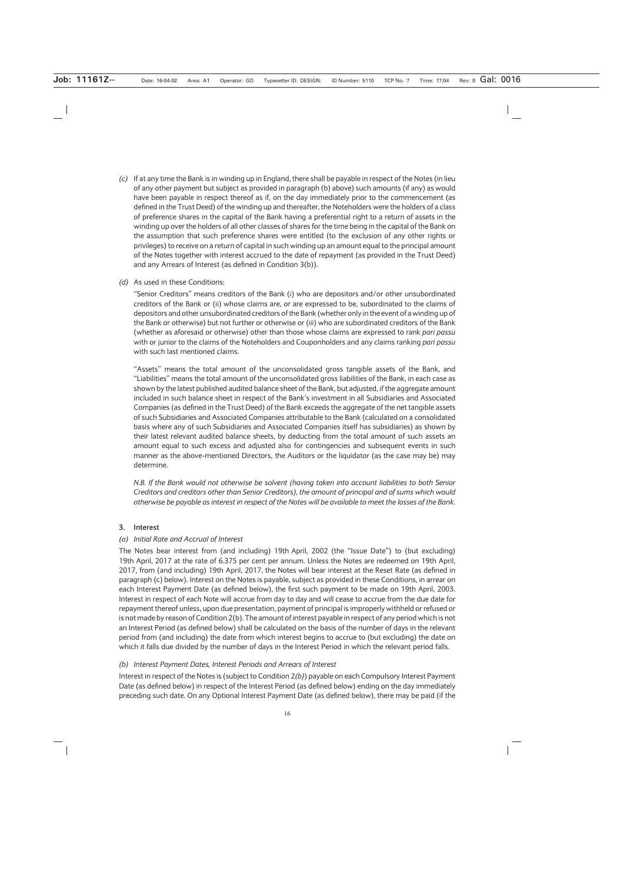*(c)* If at any time the Bank is in winding up in England, there shall be payable in respect of the Notes (in lieu of any other payment but subject as provided in paragraph (b) above) such amounts (if any) as would have been payable in respect thereof as if, on the day immediately prior to the commencement (as defined in the Trust Deed) of the winding up and thereafter, the Noteholders were the holders of a class of preference shares in the capital of the Bank having a preferential right to a return of assets in the winding up over the holders of all other classes of shares for the time being in the capital of the Bank on the assumption that such preference shares were entitled (to the exclusion of any other rights or privileges) to receive on a return of capital in such winding up an amount equal to the principal amount of the Notes together with interest accrued to the date of repayment (as provided in the Trust Deed) and any Arrears of Interest (as defined in Condition 3(b)).

#### *(d)* As used in these Conditions:

"Senior Creditors" means creditors of the Bank (i) who are depositors and/or other unsubordinated creditors of the Bank or (ii) whose claims are, or are expressed to be, subordinated to the claims of depositors and other unsubordinated creditors of the Bank (whether only in the event of a winding up of the Bank or otherwise) but not further or otherwise or (iii) who are subordinated creditors of the Bank (whether as aforesaid or otherwise) other than those whose claims are expressed to rank *pari passu* with or junior to the claims of the Noteholders and Couponholders and any claims ranking *pari passu* with such last mentioned claims.

"Assets" means the total amount of the unconsolidated gross tangible assets of the Bank, and "Liabilities" means the total amount of the unconsolidated gross liabilities of the Bank, in each case as shown by the latest published audited balance sheet of the Bank, but adjusted, if the aggregate amount included in such balance sheet in respect of the Bank's investment in all Subsidiaries and Associated Companies (as defined in the Trust Deed) of the Bank exceeds the aggregate of the net tangible assets of such Subsidiaries and Associated Companies attributable to the Bank (calculated on a consolidated basis where any of such Subsidiaries and Associated Companies itself has subsidiaries) as shown by their latest relevant audited balance sheets, by deducting from the total amount of such assets an amount equal to such excess and adjusted also for contingencies and subsequent events in such manner as the above-mentioned Directors, the Auditors or the liquidator (as the case may be) may determine.

*N.B. If the Bank would not otherwise be solvent (having taken into account liabilities to both Senior Creditors and creditors other than Senior Creditors), the amount of principal and of sums which would otherwise be payable as interest in respect of the Notes will be available to meet the losses of the Bank.*

#### **3. Interest**

#### *(a) Initial Rate and Accrual of Interest*

The Notes bear interest from (and including) 19th April, 2002 (the "Issue Date") to (but excluding) 19th April, 2017 at the rate of 6.375 per cent per annum. Unless the Notes are redeemed on 19th April, 2017, from (and including) 19th April, 2017, the Notes will bear interest at the Reset Rate (as defined in paragraph (c) below). Interest on the Notes is payable, subject as provided in these Conditions, in arrear on each Interest Payment Date (as defined below), the first such payment to be made on 19th April, 2003. Interest in respect of each Note will accrue from day to day and will cease to accrue from the due date for repayment thereof unless, upon due presentation, payment of principal is improperly withheld or refused or is not made by reason of Condition 2(b). The amount of interest payable in respect of any period which is not an Interest Period (as defined below) shall be calculated on the basis of the number of days in the relevant period from (and including) the date from which interest begins to accrue to (but excluding) the date on which it falls due divided by the number of days in the Interest Period in which the relevant period falls.

#### *(b) Interest Payment Dates, Interest Periods and Arrears of Interest*

Interest in respect of the Notes is (subject to Condition 2*(b)*) payable on each Compulsory Interest Payment Date (as defined below) in respect of the Interest Period (as defined below) ending on the day immediately preceding such date. On any Optional Interest Payment Date (as defined below), there may be paid (if the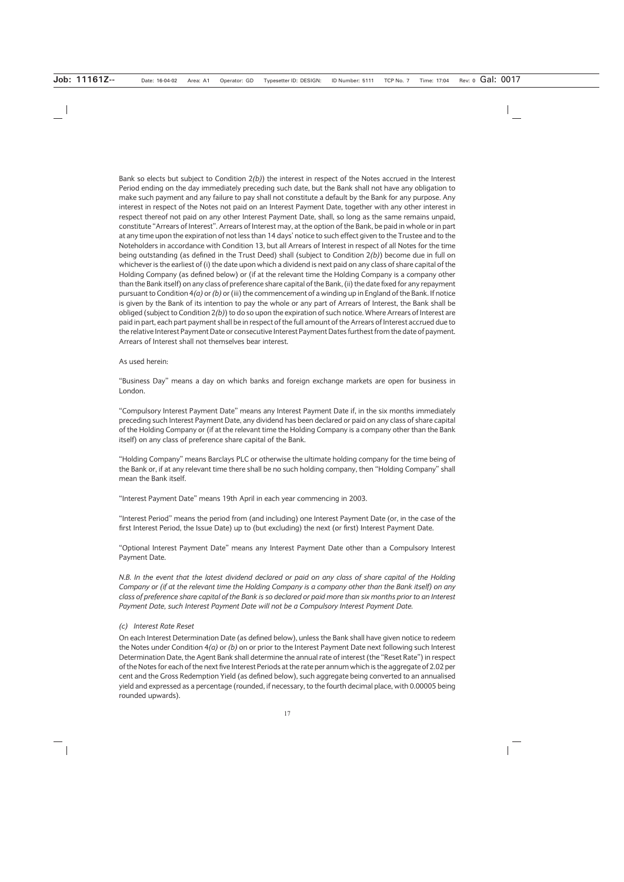Bank so elects but subject to Condition 2*(b)*) the interest in respect of the Notes accrued in the Interest Period ending on the day immediately preceding such date, but the Bank shall not have any obligation to make such payment and any failure to pay shall not constitute a default by the Bank for any purpose. Any interest in respect of the Notes not paid on an Interest Payment Date, together with any other interest in respect thereof not paid on any other Interest Payment Date, shall, so long as the same remains unpaid, constitute "Arrears of Interest". Arrears of Interest may, at the option of the Bank, be paid in whole or in part at any time upon the expiration of not less than 14 days' notice to such effect given to the Trustee and to the Noteholders in accordance with Condition 13, but all Arrears of Interest in respect of all Notes for the time being outstanding (as defined in the Trust Deed) shall (subject to Condition 2*(b)*) become due in full on whichever is the earliest of (i) the date upon which a dividend is next paid on any class of share capital of the Holding Company (as defined below) or (if at the relevant time the Holding Company is a company other than the Bank itself) on any class of preference share capital of the Bank, (ii) the date fixed for any repayment pursuant to Condition 4*(a)* or *(b)* or (iii) the commencement of a winding up in England of the Bank. If notice is given by the Bank of its intention to pay the whole or any part of Arrears of Interest, the Bank shall be obliged (subject to Condition 2*(b)*) to do so upon the expiration of such notice. Where Arrears of Interest are paid in part, each part payment shall be in respect of the full amount of the Arrears of Interest accrued due to the relative Interest Payment Date or consecutive Interest Payment Dates furthest from the date of payment. Arrears of Interest shall not themselves bear interest.

#### As used herein:

"Business Day" means a day on which banks and foreign exchange markets are open for business in London.

"Compulsory Interest Payment Date" means any Interest Payment Date if, in the six months immediately preceding such Interest Payment Date, any dividend has been declared or paid on any class of share capital of the Holding Company or (if at the relevant time the Holding Company is a company other than the Bank itself) on any class of preference share capital of the Bank.

"Holding Company" means Barclays PLC or otherwise the ultimate holding company for the time being of the Bank or, if at any relevant time there shall be no such holding company, then "Holding Company" shall mean the Bank itself.

"Interest Payment Date" means 19th April in each year commencing in 2003.

"Interest Period" means the period from (and including) one Interest Payment Date (or, in the case of the first Interest Period, the Issue Date) up to (but excluding) the next (or first) Interest Payment Date.

"Optional Interest Payment Date" means any Interest Payment Date other than a Compulsory Interest Payment Date.

*N.B. In the event that the latest dividend declared or paid on any class of share capital of the Holding Company or (if at the relevant time the Holding Company is a company other than the Bank itself) on any class of preference share capital of the Bank is so declared or paid more than six months prior to an Interest Payment Date, such Interest Payment Date will not be a Compulsory Interest Payment Date.*

#### *(c) Interest Rate Reset*

On each Interest Determination Date (as defined below), unless the Bank shall have given notice to redeem the Notes under Condition 4*(a)* or *(b)* on or prior to the Interest Payment Date next following such Interest Determination Date, the Agent Bank shall determine the annual rate of interest (the "Reset Rate") in respect of the Notes for each of the next five Interest Periods at the rate per annum which is the aggregate of 2.02 per cent and the Gross Redemption Yield (as defined below), such aggregate being converted to an annualised yield and expressed as a percentage (rounded, if necessary, to the fourth decimal place, with 0.00005 being rounded upwards).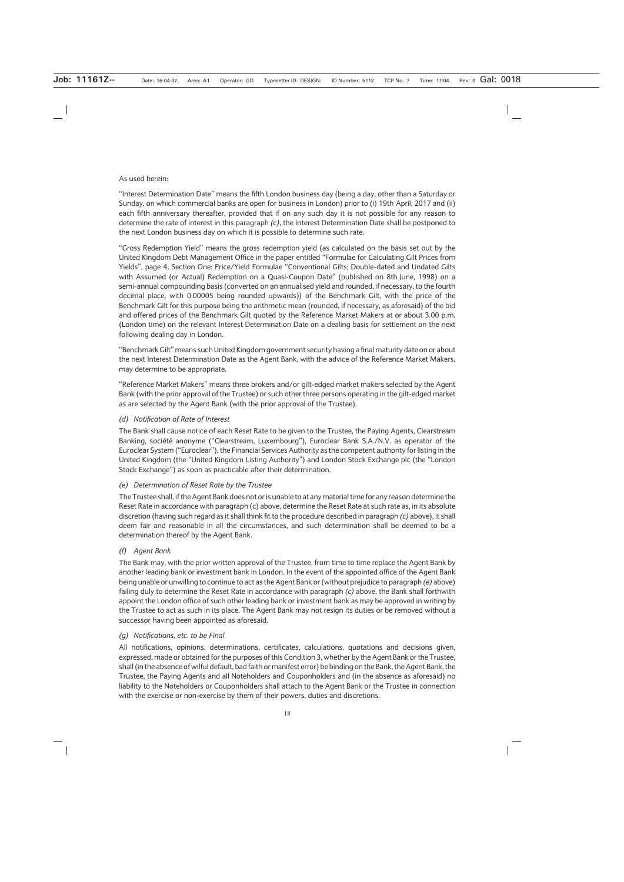#### As used herein:

"Interest Determination Date" means the fifth London business day (being a day, other than a Saturday or Sunday, on which commercial banks are open for business in London) prior to (i) 19th April, 2017 and (ii) each fifth anniversary thereafter, provided that if on any such day it is not possible for any reason to determine the rate of interest in this paragraph *(c)*, the Interest Determination Date shall be postponed to the next London business day on which it is possible to determine such rate.

"Gross Redemption Yield" means the gross redemption yield (as calculated on the basis set out by the United Kingdom Debt Management Office in the paper entitled "Formulae for Calculating Gilt Prices from Yields", page 4, Section One: Price/Yield Formulae "Conventional Gilts; Double-dated and Undated Gilts with Assumed (or Actual) Redemption on a Quasi-Coupon Date" (published on 8th June, 1998) on a semi-annual compounding basis (converted on an annualised yield and rounded, if necessary, to the fourth decimal place, with 0.00005 being rounded upwards)) of the Benchmark Gilt, with the price of the Benchmark Gilt for this purpose being the arithmetic mean (rounded, if necessary, as aforesaid) of the bid and offered prices of the Benchmark Gilt quoted by the Reference Market Makers at or about 3.00 p.m. (London time) on the relevant Interest Determination Date on a dealing basis for settlement on the next following dealing day in London.

"Benchmark Gilt" means such United Kingdom government security having a final maturity date on or about the next Interest Determination Date as the Agent Bank, with the advice of the Reference Market Makers, may determine to be appropriate.

"Reference Market Makers" means three brokers and/or gilt-edged market makers selected by the Agent Bank (with the prior approval of the Trustee) or such other three persons operating in the gilt-edged market as are selected by the Agent Bank (with the prior approval of the Trustee).

#### *(d) Notification of Rate of Interest*

The Bank shall cause notice of each Reset Rate to be given to the Trustee, the Paying Agents, Clearstream Banking, société anonyme ("Clearstream, Luxembourg"), Euroclear Bank S.A./N.V. as operator of the Euroclear System ("Euroclear"), the Financial Services Authority as the competent authority for listing in the United Kingdom (the "United Kingdom Listing Authority") and London Stock Exchange plc (the "London Stock Exchange") as soon as practicable after their determination.

#### *(e) Determination of Reset Rate by the Trustee*

The Trustee shall, if the Agent Bank does not or is unable to at any material time for any reason determine the Reset Rate in accordance with paragraph (c) above, determine the Reset Rate at such rate as, in its absolute discretion (having such regard as it shall think fit to the procedure described in paragraph *(c)* above), it shall deem fair and reasonable in all the circumstances, and such determination shall be deemed to be a determination thereof by the Agent Bank.

#### *(f) Agent Bank*

The Bank may, with the prior written approval of the Trustee, from time to time replace the Agent Bank by another leading bank or investment bank in London. In the event of the appointed office of the Agent Bank being unable or unwilling to continue to act as the Agent Bank or (without prejudice to paragraph *(e)* above) failing duly to determine the Reset Rate in accordance with paragraph *(c)* above, the Bank shall forthwith appoint the London office of such other leading bank or investment bank as may be approved in writing by the Trustee to act as such in its place. The Agent Bank may not resign its duties or be removed without a successor having been appointed as aforesaid.

#### *(g) Notifications, etc. to be Final*

All notifications, opinions, determinations, certificates, calculations, quotations and decisions given, expressed, made or obtained for the purposes of this Condition 3, whether by the Agent Bank or the Trustee, shall (in the absence of wilful default, bad faith or manifest error) be binding on the Bank, the Agent Bank, the Trustee, the Paying Agents and all Noteholders and Couponholders and (in the absence as aforesaid) no liability to the Noteholders or Couponholders shall attach to the Agent Bank or the Trustee in connection with the exercise or non-exercise by them of their powers, duties and discretions.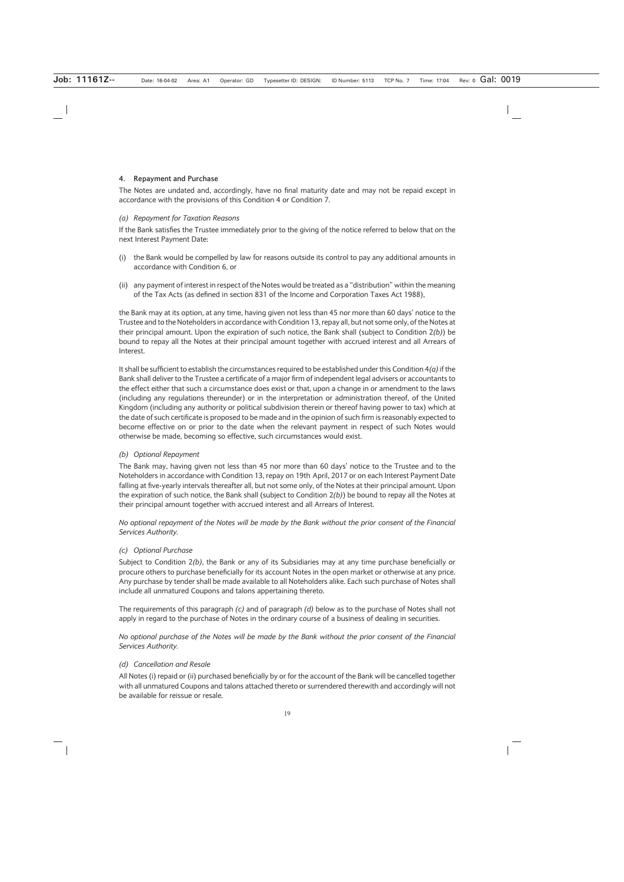#### **4. Repayment and Purchase**

The Notes are undated and, accordingly, have no final maturity date and may not be repaid except in accordance with the provisions of this Condition 4 or Condition 7.

#### *(a) Repayment for Taxation Reasons*

If the Bank satisfies the Trustee immediately prior to the giving of the notice referred to below that on the next Interest Payment Date:

- (i) the Bank would be compelled by law for reasons outside its control to pay any additional amounts in accordance with Condition 6, or
- (ii) any payment of interest in respect of the Notes would be treated as a "distribution" within the meaning of the Tax Acts (as defined in section 831 of the Income and Corporation Taxes Act 1988),

the Bank may at its option, at any time, having given not less than 45 nor more than 60 days' notice to the Trustee and to the Noteholders in accordance with Condition 13, repay all, but not some only, of the Notes at their principal amount. Upon the expiration of such notice, the Bank shall (subject to Condition 2*(b)*) be bound to repay all the Notes at their principal amount together with accrued interest and all Arrears of Interest.

It shall be sufficient to establish the circumstances required to be established under this Condition 4*(a)*if the Bank shall deliver to the Trustee a certificate of a major firm of independent legal advisers or accountants to the effect either that such a circumstance does exist or that, upon a change in or amendment to the laws (including any regulations thereunder) or in the interpretation or administration thereof, of the United Kingdom (including any authority or political subdivision therein or thereof having power to tax) which at the date of such certificate is proposed to be made and in the opinion of such firm is reasonably expected to become effective on or prior to the date when the relevant payment in respect of such Notes would otherwise be made, becoming so effective, such circumstances would exist.

#### *(b) Optional Repayment*

The Bank may, having given not less than 45 nor more than 60 days' notice to the Trustee and to the Noteholders in accordance with Condition 13, repay on 19th April, 2017 or on each Interest Payment Date falling at five-yearly intervals thereafter all, but not some only, of the Notes at their principal amount. Upon the expiration of such notice, the Bank shall (subject to Condition 2*(b)*) be bound to repay all the Notes at their principal amount together with accrued interest and all Arrears of Interest.

*No optional repayment of the Notes will be made by the Bank without the prior consent of the Financial Services Authority.*

#### *(c) Optional Purchase*

Subject to Condition 2*(b)*, the Bank or any of its Subsidiaries may at any time purchase beneficially or procure others to purchase beneficially for its account Notes in the open market or otherwise at any price. Any purchase by tender shall be made available to all Noteholders alike. Each such purchase of Notes shall include all unmatured Coupons and talons appertaining thereto.

The requirements of this paragraph *(c)* and of paragraph *(d)* below as to the purchase of Notes shall not apply in regard to the purchase of Notes in the ordinary course of a business of dealing in securities.

*No optional purchase of the Notes will be made by the Bank without the prior consent of the Financial Services Authority.*

#### *(d) Cancellation and Resale*

All Notes (i) repaid or (ii) purchased beneficially by or for the account of the Bank will be cancelled together with all unmatured Coupons and talons attached thereto or surrendered therewith and accordingly will not be available for reissue or resale.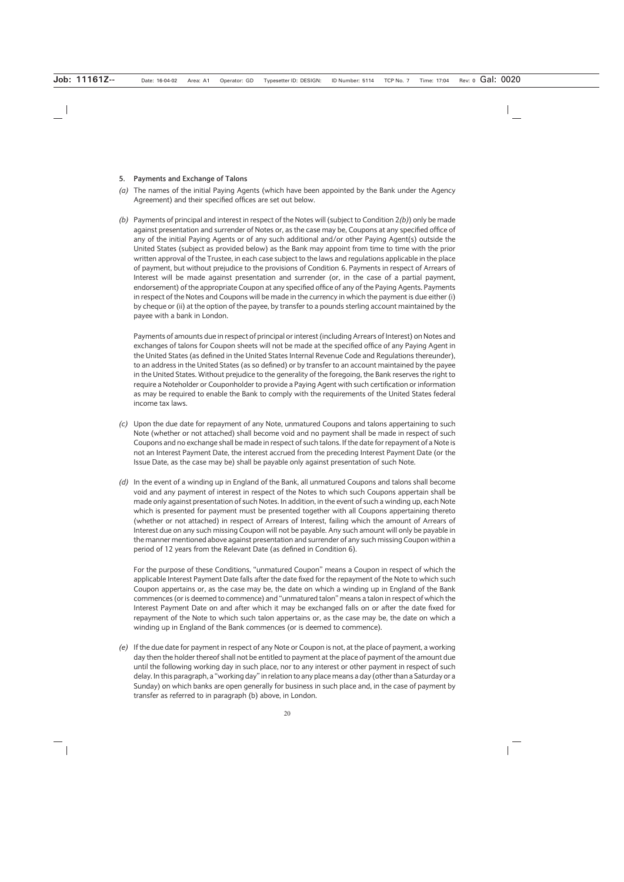#### **5. Payments and Exchange of Talons**

- *(a)* The names of the initial Paying Agents (which have been appointed by the Bank under the Agency Agreement) and their specified offices are set out below.
- *(b)* Payments of principal and interest in respect of the Notes will (subject to Condition 2*(b)*) only be made against presentation and surrender of Notes or, as the case may be, Coupons at any specified office of any of the initial Paying Agents or of any such additional and/or other Paying Agent(s) outside the United States (subject as provided below) as the Bank may appoint from time to time with the prior written approval of the Trustee, in each case subject to the laws and regulations applicable in the place of payment, but without prejudice to the provisions of Condition 6. Payments in respect of Arrears of Interest will be made against presentation and surrender (or, in the case of a partial payment, endorsement) of the appropriate Coupon at any specified office of any of the Paying Agents. Payments in respect of the Notes and Coupons will be made in the currency in which the payment is due either (i) by cheque or (ii) at the option of the payee, by transfer to a pounds sterling account maintained by the payee with a bank in London.

Payments of amounts due in respect of principal or interest (including Arrears of Interest) on Notes and exchanges of talons for Coupon sheets will not be made at the specified office of any Paying Agent in the United States (as defined in the United States Internal Revenue Code and Regulations thereunder), to an address in the United States (as so defined) or by transfer to an account maintained by the payee in the United States. Without prejudice to the generality of the foregoing, the Bank reserves the right to require a Noteholder or Couponholder to provide a Paying Agent with such certification or information as may be required to enable the Bank to comply with the requirements of the United States federal income tax laws.

- *(c)* Upon the due date for repayment of any Note, unmatured Coupons and talons appertaining to such Note (whether or not attached) shall become void and no payment shall be made in respect of such Coupons and no exchange shall be made in respect of such talons. If the date for repayment of a Note is not an Interest Payment Date, the interest accrued from the preceding Interest Payment Date (or the Issue Date, as the case may be) shall be payable only against presentation of such Note.
- *(d)* In the event of a winding up in England of the Bank, all unmatured Coupons and talons shall become void and any payment of interest in respect of the Notes to which such Coupons appertain shall be made only against presentation of such Notes. In addition, in the event of such a winding up, each Note which is presented for payment must be presented together with all Coupons appertaining thereto (whether or not attached) in respect of Arrears of Interest, failing which the amount of Arrears of Interest due on any such missing Coupon will not be payable. Any such amount will only be payable in the manner mentioned above against presentation and surrender of any such missing Coupon within a period of 12 years from the Relevant Date (as defined in Condition 6).

For the purpose of these Conditions, "unmatured Coupon" means a Coupon in respect of which the applicable Interest Payment Date falls after the date fixed for the repayment of the Note to which such Coupon appertains or, as the case may be, the date on which a winding up in England of the Bank commences (or is deemed to commence) and "unmatured talon" means a talon in respect of which the Interest Payment Date on and after which it may be exchanged falls on or after the date fixed for repayment of the Note to which such talon appertains or, as the case may be, the date on which a winding up in England of the Bank commences (or is deemed to commence).

*(e)* If the due date for payment in respect of any Note or Coupon is not, at the place of payment, a working day then the holder thereof shall not be entitled to payment at the place of payment of the amount due until the following working day in such place, nor to any interest or other payment in respect of such delay. In this paragraph, a "working day" in relation to any place means a day (other than a Saturday or a Sunday) on which banks are open generally for business in such place and, in the case of payment by transfer as referred to in paragraph (b) above, in London.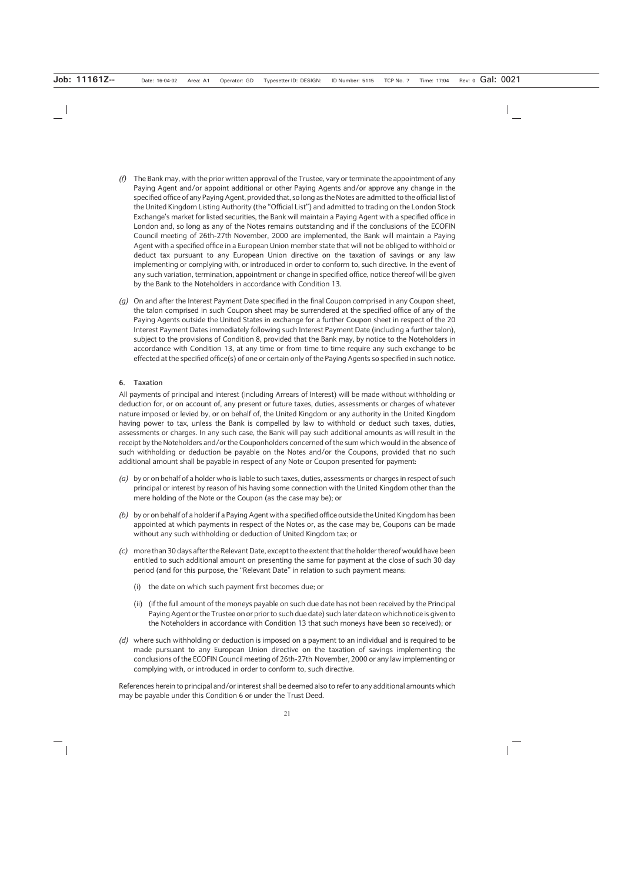- *(f)* The Bank may, with the prior written approval of the Trustee, vary or terminate the appointment of any Paying Agent and/or appoint additional or other Paying Agents and/or approve any change in the specified office of any Paying Agent, provided that, so long as the Notes are admitted to the official list of the United Kingdom Listing Authority (the "Official List") and admitted to trading on the London Stock Exchange's market for listed securities, the Bank will maintain a Paying Agent with a specified office in London and, so long as any of the Notes remains outstanding and if the conclusions of the ECOFIN Council meeting of 26th-27th November, 2000 are implemented, the Bank will maintain a Paying Agent with a specified office in a European Union member state that will not be obliged to withhold or deduct tax pursuant to any European Union directive on the taxation of savings or any law implementing or complying with, or introduced in order to conform to, such directive. In the event of any such variation, termination, appointment or change in specified office, notice thereof will be given by the Bank to the Noteholders in accordance with Condition 13.
- *(g)* On and after the Interest Payment Date specified in the final Coupon comprised in any Coupon sheet, the talon comprised in such Coupon sheet may be surrendered at the specified office of any of the Paying Agents outside the United States in exchange for a further Coupon sheet in respect of the 20 Interest Payment Dates immediately following such Interest Payment Date (including a further talon), subject to the provisions of Condition 8, provided that the Bank may, by notice to the Noteholders in accordance with Condition 13, at any time or from time to time require any such exchange to be effected at the specified office(s) of one or certain only of the Paying Agents so specified in such notice.

#### **6. Taxation**

All payments of principal and interest (including Arrears of Interest) will be made without withholding or deduction for, or on account of, any present or future taxes, duties, assessments or charges of whatever nature imposed or levied by, or on behalf of, the United Kingdom or any authority in the United Kingdom having power to tax, unless the Bank is compelled by law to withhold or deduct such taxes, duties, assessments or charges. In any such case, the Bank will pay such additional amounts as will result in the receipt by the Noteholders and/or the Couponholders concerned of the sum which would in the absence of such withholding or deduction be payable on the Notes and/or the Coupons, provided that no such additional amount shall be payable in respect of any Note or Coupon presented for payment:

- *(a)* by or on behalf of a holder who is liable to such taxes, duties, assessments or charges in respect of such principal or interest by reason of his having some connection with the United Kingdom other than the mere holding of the Note or the Coupon (as the case may be); or
- *(b)* by or on behalf of a holder if a Paying Agent with a specified office outside the United Kingdom has been appointed at which payments in respect of the Notes or, as the case may be, Coupons can be made without any such withholding or deduction of United Kingdom tax; or
- *(c)* more than 30 days after the Relevant Date, except to the extent that the holder thereof would have been entitled to such additional amount on presenting the same for payment at the close of such 30 day period (and for this purpose, the "Relevant Date" in relation to such payment means:
	- (i) the date on which such payment first becomes due; or
	- (ii) (if the full amount of the moneys payable on such due date has not been received by the Principal Paying Agent or the Trustee on or prior to such due date) such later date on which notice is given to the Noteholders in accordance with Condition 13 that such moneys have been so received); or
- *(d)* where such withholding or deduction is imposed on a payment to an individual and is required to be made pursuant to any European Union directive on the taxation of savings implementing the conclusions of the ECOFIN Council meeting of 26th-27th November, 2000 or any law implementing or complying with, or introduced in order to conform to, such directive.

References herein to principal and/or interest shall be deemed also to refer to any additional amounts which may be payable under this Condition 6 or under the Trust Deed.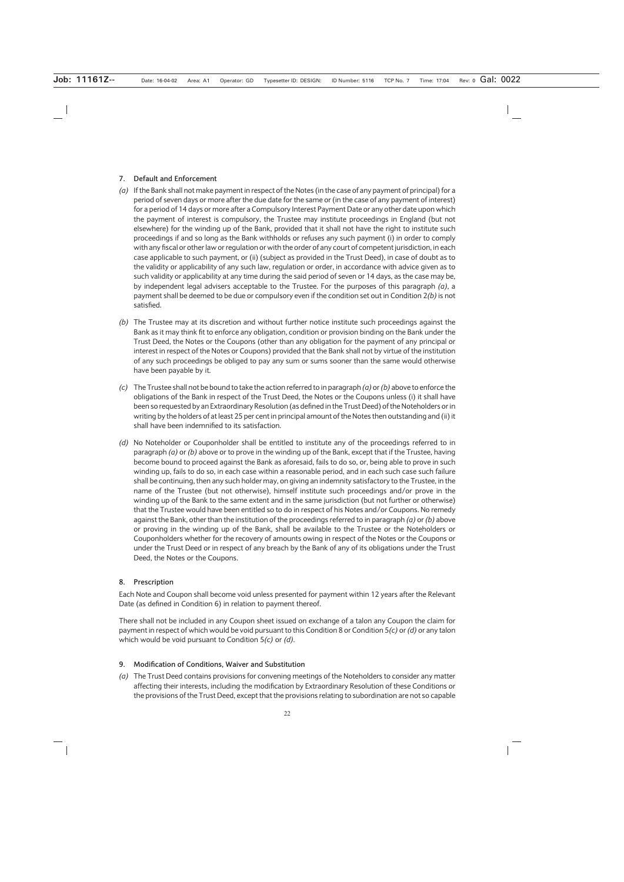#### **7. Default and Enforcement**

- *(a)* If the Bank shall not make payment in respect of the Notes (in the case of any payment of principal) for a period of seven days or more after the due date for the same or (in the case of any payment of interest) for a period of 14 days or more after a Compulsory Interest Payment Date or any other date upon which the payment of interest is compulsory, the Trustee may institute proceedings in England (but not elsewhere) for the winding up of the Bank, provided that it shall not have the right to institute such proceedings if and so long as the Bank withholds or refuses any such payment (i) in order to comply with any fiscal or other law or regulation or with the order of any court of competent jurisdiction, in each case applicable to such payment, or (ii) (subject as provided in the Trust Deed), in case of doubt as to the validity or applicability of any such law, regulation or order, in accordance with advice given as to such validity or applicability at any time during the said period of seven or 14 days, as the case may be, by independent legal advisers acceptable to the Trustee. For the purposes of this paragraph *(a)*, a payment shall be deemed to be due or compulsory even if the condition set out in Condition 2*(b)* is not satisfied.
- *(b)* The Trustee may at its discretion and without further notice institute such proceedings against the Bank as it may think fit to enforce any obligation, condition or provision binding on the Bank under the Trust Deed, the Notes or the Coupons (other than any obligation for the payment of any principal or interest in respect of the Notes or Coupons) provided that the Bank shall not by virtue of the institution of any such proceedings be obliged to pay any sum or sums sooner than the same would otherwise have been payable by it.
- *(c)* The Trustee shall not be bound to take the action referred to in paragraph *(a)* or *(b)* above to enforce the obligations of the Bank in respect of the Trust Deed, the Notes or the Coupons unless (i) it shall have been so requested by an Extraordinary Resolution (as defined in the Trust Deed) of the Noteholders or in writing by the holders of at least 25 per cent in principal amount of the Notes then outstanding and (ii) it shall have been indemnified to its satisfaction.
- *(d)* No Noteholder or Couponholder shall be entitled to institute any of the proceedings referred to in paragraph *(a)* or *(b)* above or to prove in the winding up of the Bank, except that if the Trustee, having become bound to proceed against the Bank as aforesaid, fails to do so, or, being able to prove in such winding up, fails to do so, in each case within a reasonable period, and in each such case such failure shall be continuing, then any such holder may, on giving an indemnity satisfactory to the Trustee, in the name of the Trustee (but not otherwise), himself institute such proceedings and/or prove in the winding up of the Bank to the same extent and in the same jurisdiction (but not further or otherwise) that the Trustee would have been entitled so to do in respect of his Notes and/or Coupons. No remedy against the Bank, other than the institution of the proceedings referred to in paragraph *(a)* or *(b)* above or proving in the winding up of the Bank, shall be available to the Trustee or the Noteholders or Couponholders whether for the recovery of amounts owing in respect of the Notes or the Coupons or under the Trust Deed or in respect of any breach by the Bank of any of its obligations under the Trust Deed, the Notes or the Coupons.

#### **8. Prescription**

Each Note and Coupon shall become void unless presented for payment within 12 years after the Relevant Date (as defined in Condition 6) in relation to payment thereof.

There shall not be included in any Coupon sheet issued on exchange of a talon any Coupon the claim for payment in respect of which would be void pursuant to this Condition 8 or Condition 5*(c)* or *(d)* or any talon which would be void pursuant to Condition 5*(c)* or *(d)*.

#### **9. Modification of Conditions, Waiver and Substitution**

*(a)* The Trust Deed contains provisions for convening meetings of the Noteholders to consider any matter affecting their interests, including the modification by Extraordinary Resolution of these Conditions or the provisions of the Trust Deed, except that the provisions relating to subordination are not so capable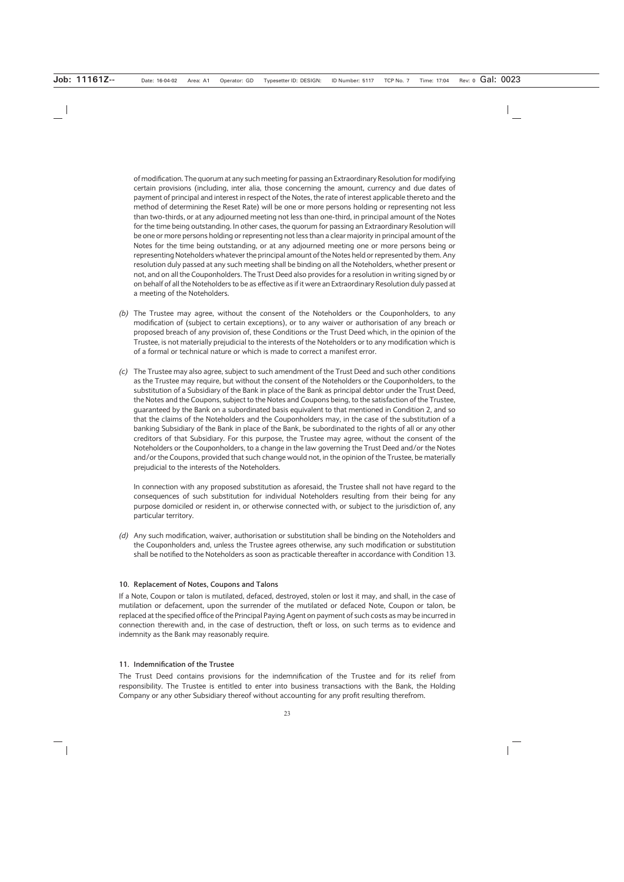of modification. The quorum at any such meeting for passing an Extraordinary Resolution for modifying certain provisions (including, inter alia, those concerning the amount, currency and due dates of payment of principal and interest in respect of the Notes, the rate of interest applicable thereto and the method of determining the Reset Rate) will be one or more persons holding or representing not less than two-thirds, or at any adjourned meeting not less than one-third, in principal amount of the Notes for the time being outstanding. In other cases, the quorum for passing an Extraordinary Resolution will be one or more persons holding or representing not less than a clear majority in principal amount of the Notes for the time being outstanding, or at any adjourned meeting one or more persons being or representing Noteholders whatever the principal amount of the Notes held or represented by them. Any resolution duly passed at any such meeting shall be binding on all the Noteholders, whether present or not, and on all the Couponholders. The Trust Deed also provides for a resolution in writing signed by or on behalf of all the Noteholders to be as effective as if it were an Extraordinary Resolution duly passed at a meeting of the Noteholders.

- *(b)* The Trustee may agree, without the consent of the Noteholders or the Couponholders, to any modification of (subject to certain exceptions), or to any waiver or authorisation of any breach or proposed breach of any provision of, these Conditions or the Trust Deed which, in the opinion of the Trustee, is not materially prejudicial to the interests of the Noteholders or to any modification which is of a formal or technical nature or which is made to correct a manifest error.
- *(c)* The Trustee may also agree, subject to such amendment of the Trust Deed and such other conditions as the Trustee may require, but without the consent of the Noteholders or the Couponholders, to the substitution of a Subsidiary of the Bank in place of the Bank as principal debtor under the Trust Deed, the Notes and the Coupons, subject to the Notes and Coupons being, to the satisfaction of the Trustee, guaranteed by the Bank on a subordinated basis equivalent to that mentioned in Condition 2, and so that the claims of the Noteholders and the Couponholders may, in the case of the substitution of a banking Subsidiary of the Bank in place of the Bank, be subordinated to the rights of all or any other creditors of that Subsidiary. For this purpose, the Trustee may agree, without the consent of the Noteholders or the Couponholders, to a change in the law governing the Trust Deed and/or the Notes and/or the Coupons, provided that such change would not, in the opinion of the Trustee, be materially prejudicial to the interests of the Noteholders.

In connection with any proposed substitution as aforesaid, the Trustee shall not have regard to the consequences of such substitution for individual Noteholders resulting from their being for any purpose domiciled or resident in, or otherwise connected with, or subject to the jurisdiction of, any particular territory.

*(d)* Any such modification, waiver, authorisation or substitution shall be binding on the Noteholders and the Couponholders and, unless the Trustee agrees otherwise, any such modification or substitution shall be notified to the Noteholders as soon as practicable thereafter in accordance with Condition 13.

#### **10. Replacement of Notes, Coupons and Talons**

If a Note, Coupon or talon is mutilated, defaced, destroyed, stolen or lost it may, and shall, in the case of mutilation or defacement, upon the surrender of the mutilated or defaced Note, Coupon or talon, be replaced at the specified office of the Principal Paying Agent on payment of such costs as may be incurred in connection therewith and, in the case of destruction, theft or loss, on such terms as to evidence and indemnity as the Bank may reasonably require.

#### **11. Indemnification of the Trustee**

The Trust Deed contains provisions for the indemnification of the Trustee and for its relief from responsibility. The Trustee is entitled to enter into business transactions with the Bank, the Holding Company or any other Subsidiary thereof without accounting for any profit resulting therefrom.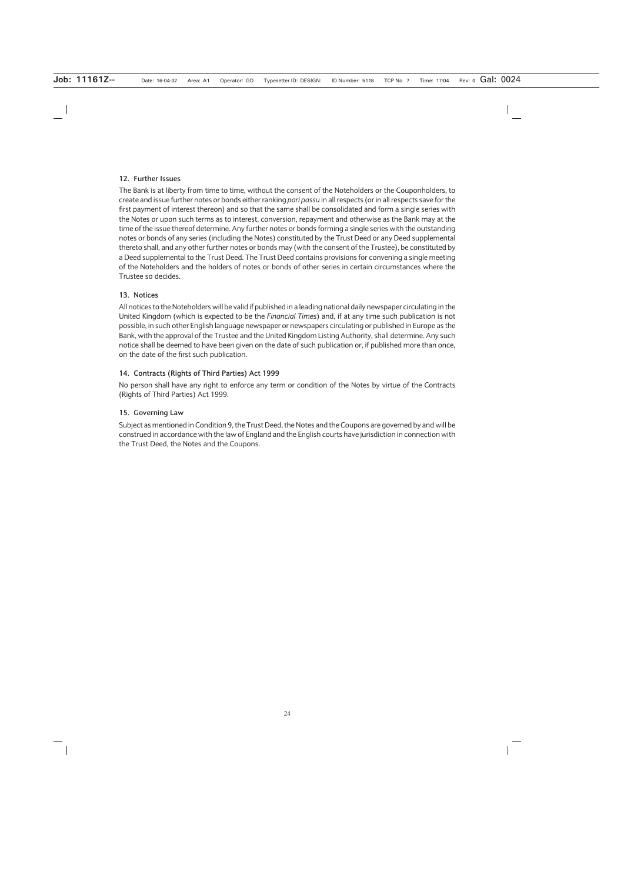#### **12. Further Issues**

The Bank is at liberty from time to time, without the consent of the Noteholders or the Couponholders, to create and issue further notes or bonds either ranking *pari passu* in all respects (or in all respects save for the first payment of interest thereon) and so that the same shall be consolidated and form a single series with the Notes or upon such terms as to interest, conversion, repayment and otherwise as the Bank may at the time of the issue thereof determine. Any further notes or bonds forming a single series with the outstanding notes or bonds of any series (including the Notes) constituted by the Trust Deed or any Deed supplemental thereto shall, and any other further notes or bonds may (with the consent of the Trustee), be constituted by a Deed supplemental to the Trust Deed. The Trust Deed contains provisions for convening a single meeting of the Noteholders and the holders of notes or bonds of other series in certain circumstances where the Trustee so decides.

#### **13. Notices**

All notices to the Noteholders will be valid if published in a leading national daily newspaper circulating in the United Kingdom (which is expected to be the *Financial Times*) and, if at any time such publication is not possible, in such other English language newspaper or newspapers circulating or published in Europe as the Bank, with the approval of the Trustee and the United Kingdom Listing Authority, shall determine. Any such notice shall be deemed to have been given on the date of such publication or, if published more than once, on the date of the first such publication.

#### **14. Contracts (Rights of Third Parties) Act 1999**

No person shall have any right to enforce any term or condition of the Notes by virtue of the Contracts (Rights of Third Parties) Act 1999.

#### **15. Governing Law**

Subject as mentioned in Condition 9, the Trust Deed, the Notes and the Coupons are governed by and will be construed in accordance with the law of England and the English courts have jurisdiction in connection with the Trust Deed, the Notes and the Coupons.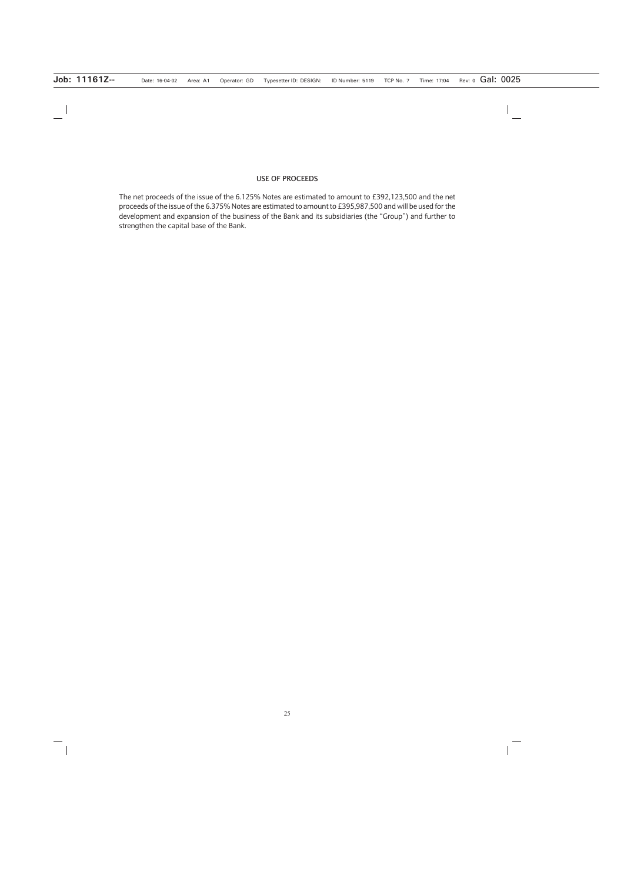#### **USE OF PROCEEDS**

The net proceeds of the issue of the 6.125% Notes are estimated to amount to £392,123,500 and the net proceeds of the issue of the 6.375% Notes are estimated to amount to £395,987,500 and will be used for the development and expansion of the business of the Bank and its subsidiaries (the "Group") and further to strengthen the capital base of the Bank.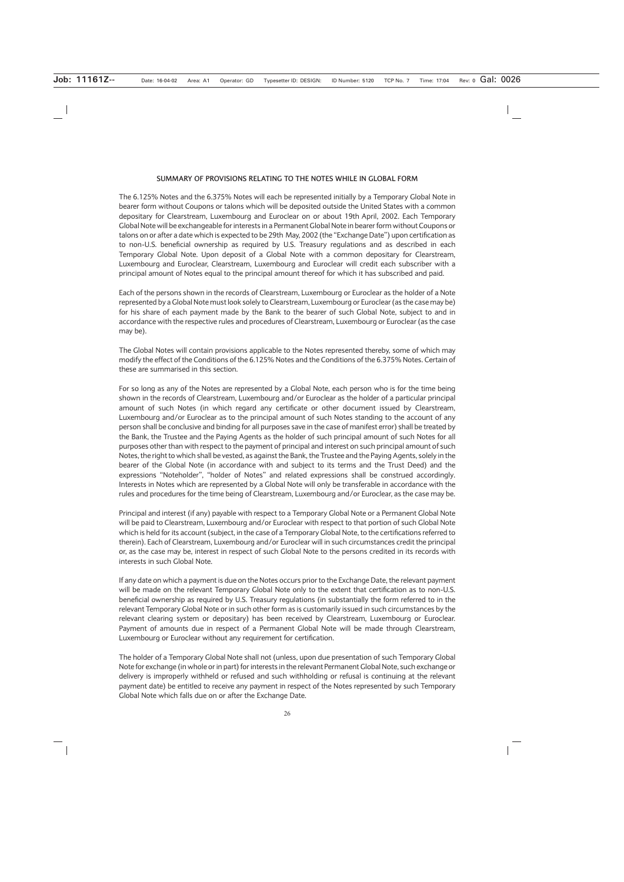#### **SUMMARY OF PROVISIONS RELATING TO THE NOTES WHILE IN GLOBAL FORM**

The 6.125% Notes and the 6.375% Notes will each be represented initially by a Temporary Global Note in bearer form without Coupons or talons which will be deposited outside the United States with a common depositary for Clearstream, Luxembourg and Euroclear on or about 19th April, 2002. Each Temporary Global Note will be exchangeable for interests in a Permanent Global Note in bearer form without Coupons or talons on or after a date which is expected to be 29th May, 2002 (the "Exchange Date") upon certification as to non-U.S. beneficial ownership as required by U.S. Treasury regulations and as described in each Temporary Global Note. Upon deposit of a Global Note with a common depositary for Clearstream, Luxembourg and Euroclear, Clearstream, Luxembourg and Euroclear will credit each subscriber with a principal amount of Notes equal to the principal amount thereof for which it has subscribed and paid.

Each of the persons shown in the records of Clearstream, Luxembourg or Euroclear as the holder of a Note represented by a Global Note must look solely to Clearstream, Luxembourg or Euroclear (as the case may be) for his share of each payment made by the Bank to the bearer of such Global Note, subject to and in accordance with the respective rules and procedures of Clearstream, Luxembourg or Euroclear (as the case may be).

The Global Notes will contain provisions applicable to the Notes represented thereby, some of which may modify the effect of the Conditions of the 6.125% Notes and the Conditions of the 6.375% Notes. Certain of these are summarised in this section.

For so long as any of the Notes are represented by a Global Note, each person who is for the time being shown in the records of Clearstream, Luxembourg and/or Euroclear as the holder of a particular principal amount of such Notes (in which regard any certificate or other document issued by Clearstream, Luxembourg and/or Euroclear as to the principal amount of such Notes standing to the account of any person shall be conclusive and binding for all purposes save in the case of manifest error) shall be treated by the Bank, the Trustee and the Paying Agents as the holder of such principal amount of such Notes for all purposes other than with respect to the payment of principal and interest on such principal amount of such Notes, the right to which shall be vested, as against the Bank, the Trustee and the Paying Agents, solely in the bearer of the Global Note (in accordance with and subject to its terms and the Trust Deed) and the expressions "Noteholder", "holder of Notes" and related expressions shall be construed accordingly. Interests in Notes which are represented by a Global Note will only be transferable in accordance with the rules and procedures for the time being of Clearstream, Luxembourg and/or Euroclear, as the case may be.

Principal and interest (if any) payable with respect to a Temporary Global Note or a Permanent Global Note will be paid to Clearstream, Luxembourg and/or Euroclear with respect to that portion of such Global Note which is held for its account (subject, in the case of a Temporary Global Note, to the certifications referred to therein). Each of Clearstream, Luxembourg and/or Euroclear will in such circumstances credit the principal or, as the case may be, interest in respect of such Global Note to the persons credited in its records with interests in such Global Note.

If any date on which a payment is due on the Notes occurs prior to the Exchange Date, the relevant payment will be made on the relevant Temporary Global Note only to the extent that certification as to non-U.S. beneficial ownership as required by U.S. Treasury regulations (in substantially the form referred to in the relevant Temporary Global Note or in such other form as is customarily issued in such circumstances by the relevant clearing system or depositary) has been received by Clearstream, Luxembourg or Euroclear. Payment of amounts due in respect of a Permanent Global Note will be made through Clearstream, Luxembourg or Euroclear without any requirement for certification.

The holder of a Temporary Global Note shall not (unless, upon due presentation of such Temporary Global Note for exchange (in whole or in part) for interests in the relevant Permanent Global Note, such exchange or delivery is improperly withheld or refused and such withholding or refusal is continuing at the relevant payment date) be entitled to receive any payment in respect of the Notes represented by such Temporary Global Note which falls due on or after the Exchange Date.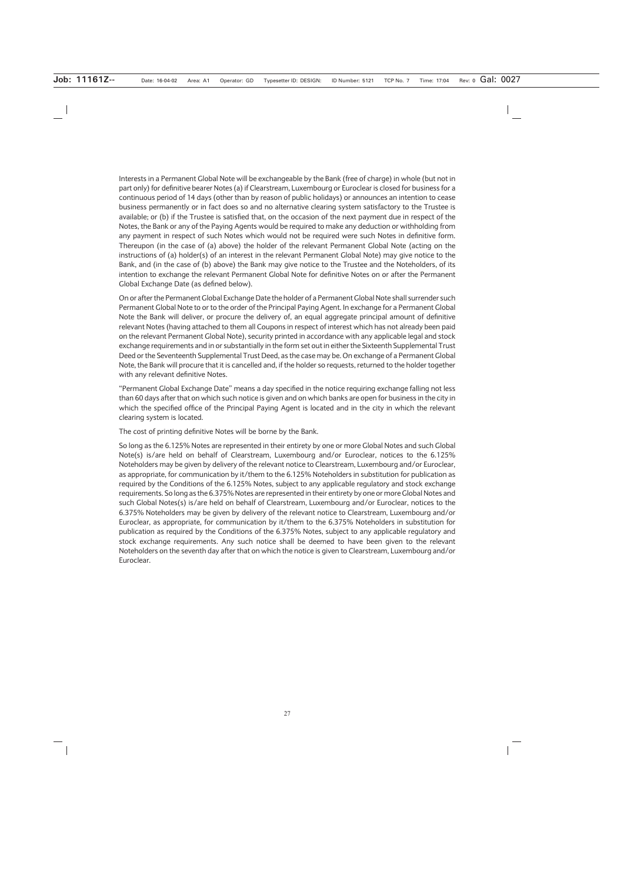Interests in a Permanent Global Note will be exchangeable by the Bank (free of charge) in whole (but not in part only) for definitive bearer Notes (a) if Clearstream, Luxembourg or Euroclear is closed for business for a continuous period of 14 days (other than by reason of public holidays) or announces an intention to cease business permanently or in fact does so and no alternative clearing system satisfactory to the Trustee is available; or (b) if the Trustee is satisfied that, on the occasion of the next payment due in respect of the Notes, the Bank or any of the Paying Agents would be required to make any deduction or withholding from any payment in respect of such Notes which would not be required were such Notes in definitive form. Thereupon (in the case of (a) above) the holder of the relevant Permanent Global Note (acting on the instructions of (a) holder(s) of an interest in the relevant Permanent Global Note) may give notice to the Bank, and (in the case of (b) above) the Bank may give notice to the Trustee and the Noteholders, of its intention to exchange the relevant Permanent Global Note for definitive Notes on or after the Permanent Global Exchange Date (as defined below).

On or after the Permanent Global Exchange Date the holder of a Permanent Global Note shall surrender such Permanent Global Note to or to the order of the Principal Paying Agent. In exchange for a Permanent Global Note the Bank will deliver, or procure the delivery of, an equal aggregate principal amount of definitive relevant Notes (having attached to them all Coupons in respect of interest which has not already been paid on the relevant Permanent Global Note), security printed in accordance with any applicable legal and stock exchange requirements and in or substantially in the form set out in either the Sixteenth Supplemental Trust Deed or the Seventeenth Supplemental Trust Deed, as the case may be. On exchange of a Permanent Global Note, the Bank will procure that it is cancelled and, if the holder so requests, returned to the holder together with any relevant definitive Notes.

"Permanent Global Exchange Date" means a day specified in the notice requiring exchange falling not less than 60 days after that on which such notice is given and on which banks are open for business in the city in which the specified office of the Principal Paying Agent is located and in the city in which the relevant clearing system is located.

The cost of printing definitive Notes will be borne by the Bank.

So long as the 6.125% Notes are represented in their entirety by one or more Global Notes and such Global Note(s) is/are held on behalf of Clearstream, Luxembourg and/or Euroclear, notices to the 6.125% Noteholders may be given by delivery of the relevant notice to Clearstream, Luxembourg and/or Euroclear, as appropriate, for communication by it/them to the 6.125% Noteholders in substitution for publication as required by the Conditions of the 6.125% Notes, subject to any applicable regulatory and stock exchange requirements. So long as the 6.375% Notes are represented in their entirety by one or more Global Notes and such Global Notes(s) is/are held on behalf of Clearstream, Luxembourg and/or Euroclear, notices to the 6.375% Noteholders may be given by delivery of the relevant notice to Clearstream, Luxembourg and/or Euroclear, as appropriate, for communication by it/them to the 6.375% Noteholders in substitution for publication as required by the Conditions of the 6.375% Notes, subject to any applicable regulatory and stock exchange requirements. Any such notice shall be deemed to have been given to the relevant Noteholders on the seventh day after that on which the notice is given to Clearstream, Luxembourg and/or Euroclear.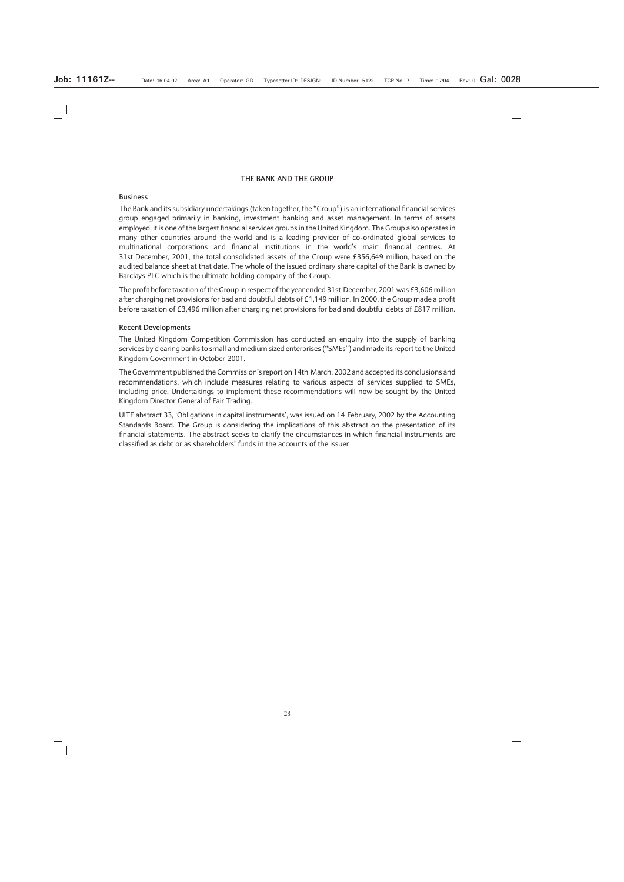#### **THE BANK AND THE GROUP**

#### **Business**

The Bank and its subsidiary undertakings (taken together, the "Group") is an international financial services group engaged primarily in banking, investment banking and asset management. In terms of assets employed, it is one of the largest financial services groups in the United Kingdom. The Group also operates in many other countries around the world and is a leading provider of co-ordinated global services to multinational corporations and financial institutions in the world's main financial centres. At 31st December, 2001, the total consolidated assets of the Group were £356,649 million, based on the audited balance sheet at that date. The whole of the issued ordinary share capital of the Bank is owned by Barclays PLC which is the ultimate holding company of the Group.

The profit before taxation of the Group in respect of the year ended 31st December, 2001 was £3,606 million after charging net provisions for bad and doubtful debts of £1,149 million. In 2000, the Group made a profit before taxation of £3,496 million after charging net provisions for bad and doubtful debts of £817 million.

#### **Recent Developments**

The United Kingdom Competition Commission has conducted an enquiry into the supply of banking services by clearing banks to small and medium sized enterprises ("SMEs") and made its report to the United Kingdom Government in October 2001.

The Government published the Commission's report on 14th March, 2002 and accepted its conclusions and recommendations, which include measures relating to various aspects of services supplied to SMEs, including price. Undertakings to implement these recommendations will now be sought by the United Kingdom Director General of Fair Trading.

UITF abstract 33, 'Obligations in capital instruments', was issued on 14 February, 2002 by the Accounting Standards Board. The Group is considering the implications of this abstract on the presentation of its financial statements. The abstract seeks to clarify the circumstances in which financial instruments are classified as debt or as shareholders' funds in the accounts of the issuer.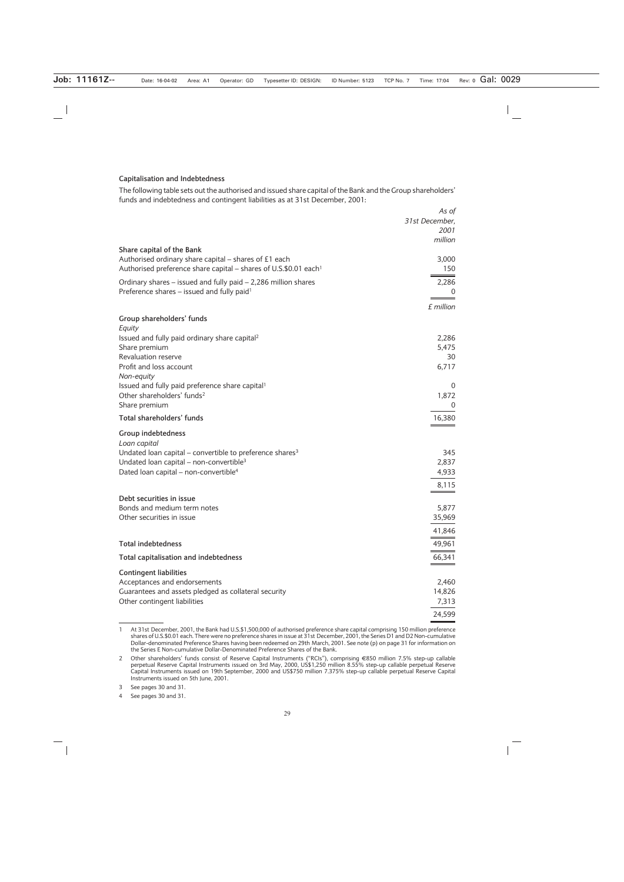#### **Capitalisation and Indebtedness**

The following table sets out the authorised and issued share capital of the Bank and the Group shareholders' funds and indebtedness and contingent liabilities as at 31st December, 2001:

|                                                                                                                    | As of          |
|--------------------------------------------------------------------------------------------------------------------|----------------|
|                                                                                                                    | 31st December, |
|                                                                                                                    | 2001           |
|                                                                                                                    | million        |
| Share capital of the Bank                                                                                          |                |
| Authorised ordinary share capital – shares of £1 each                                                              | 3,000          |
| Authorised preference share capital – shares of U.S.\$0.01 each <sup>1</sup>                                       | 150            |
| Ordinary shares – issued and fully paid – 2,286 million shares                                                     | 2,286          |
| Preference shares - issued and fully paid <sup>1</sup>                                                             | 0              |
|                                                                                                                    | £ million      |
|                                                                                                                    |                |
| Group shareholders' funds                                                                                          |                |
| Equity                                                                                                             |                |
| Issued and fully paid ordinary share capital <sup>2</sup><br>Share premium                                         | 2,286<br>5,475 |
| Revaluation reserve                                                                                                | 30             |
| Profit and loss account                                                                                            | 6,717          |
| Non-equity                                                                                                         |                |
| Issued and fully paid preference share capital <sup>1</sup>                                                        | $\theta$       |
| Other shareholders' funds <sup>2</sup>                                                                             | 1,872          |
| Share premium                                                                                                      | $\theta$       |
| Total shareholders' funds                                                                                          | 16,380         |
|                                                                                                                    |                |
| Group indebtedness                                                                                                 |                |
| Loan capital                                                                                                       | 345            |
| Undated loan capital – convertible to preference shares $3$<br>Undated Ioan capital – non-convertible <sup>3</sup> | 2,837          |
| Dated loan capital - non-convertible <sup>4</sup>                                                                  | 4,933          |
|                                                                                                                    |                |
|                                                                                                                    | 8,115          |
| Debt securities in issue                                                                                           |                |
| Bonds and medium term notes                                                                                        | 5,877          |
| Other securities in issue                                                                                          | 35,969         |
|                                                                                                                    | 41,846         |
| <b>Total indebtedness</b>                                                                                          | 49,961         |
|                                                                                                                    |                |
| Total capitalisation and indebtedness                                                                              | 66,341         |
| <b>Contingent liabilities</b>                                                                                      |                |
| Acceptances and endorsements                                                                                       | 2,460          |
| Guarantees and assets pledged as collateral security                                                               | 14,826         |
| Other contingent liabilities                                                                                       | 7,313          |
|                                                                                                                    | 24,599         |

<sup>1</sup> At 31st December, 2001, the Bank had U.S.\$1,500,000 of authorised preference share capital comprising 150 million preference shares of U.S.\$0.01 each. There were no preference shares in issue at 31st December, 2001, the Series D1 and D2 Non-cumulative Dollar-denominated Preference Shares having been redeemed on 29th March, 2001. See note (p) on page 31 for information on the Series E Non-cumulative Dollar-Denominated Preference Shares of the Bank.

<sup>2</sup> Other shareholders' funds consist of Reserve Capital Instruments ("RCIs"), comprising (850 million 7.5% step-up callable perpetual Reserve Capital Instruments issued on 3rd May, 2000, US\$1,250 million 8.55% step-up callable perpetual Reserve Capital Instruments issued on 19th September, 2000 and US\$750 million 7.375% step-up callable perpetual Reserve Capital Instruments issued on 5th June, 2001.

<sup>3</sup> See pages 30 and 31.

<sup>4</sup> See pages 30 and 31.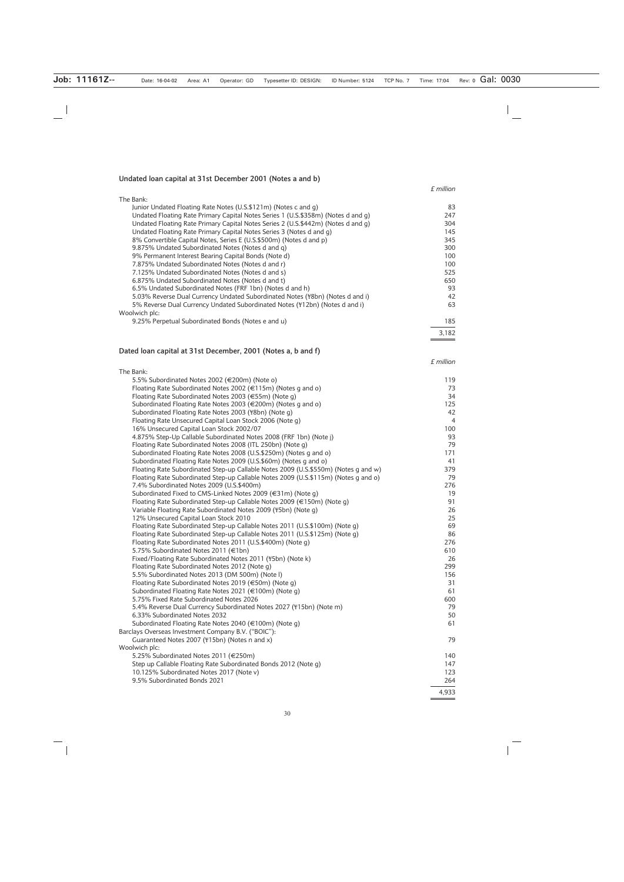#### **Undated loan capital at 31st December 2001 (Notes a and b)**

*£ million*

| The Bank:                                                                         |       |
|-----------------------------------------------------------------------------------|-------|
| Junior Undated Floating Rate Notes (U.S.\$121m) (Notes c and g)                   | 83    |
| Undated Floating Rate Primary Capital Notes Series 1 (U.S.\$358m) (Notes d and g) | 247   |
| Undated Floating Rate Primary Capital Notes Series 2 (U.S.\$442m) (Notes d and g) | 304   |
| Undated Floating Rate Primary Capital Notes Series 3 (Notes d and q)              | 145   |
| 8% Convertible Capital Notes, Series E (U.S.\$500m) (Notes d and p)               | 345   |
| 9.875% Undated Subordinated Notes (Notes d and q)                                 | 300   |
| 9% Permanent Interest Bearing Capital Bonds (Note d)                              | 100   |
| 7.875% Undated Subordinated Notes (Notes d and r)                                 | 100   |
| 7.125% Undated Subordinated Notes (Notes d and s)                                 | 525   |
| 6.875% Undated Subordinated Notes (Notes d and t)                                 | 650   |
| 6.5% Undated Subordinated Notes (FRF 1bn) (Notes d and h)                         | 93    |
| 5.03% Reverse Dual Currency Undated Subordinated Notes (\\table ) (Notes d and i) | 42    |
| 5% Reverse Dual Currency Undated Subordinated Notes (\ff 12bn) (Notes d and i)    | 63    |
| Woolwich plc:                                                                     |       |
| 9.25% Perpetual Subordinated Bonds (Notes e and u)                                | 185   |
|                                                                                   | 3.182 |

#### **Dated loan capital at 31st December, 2001 (Notes a, b and f)**

The Bank:

 $5.5%$  Subordinated Notes 2002 (€200m) (Note o) 119 Floating Rate Subordinated Notes 2002 ( $\in$ 115m) (Notes g and o) 73 Floating Rate Subordinated Notes 2003 (€55m) (Note g) 34<br>Subordinated Floating Rate Notes 2003 (€200m) (Notes g and o) 35 Subordinated Floating Rate Notes 2003 ( $\in$ 200m) (Notes g and o) Subordinated Floating Rate Notes 2003 (\{\text{8}} 8bordinated Floating Rate Notes 2003 (\{\text{8}} 8bordinated Floating Rate Notes 2003 (\{\text{8}} 8bordinated Floating Rate Notes 2003 (\{\text{8}} 8bordinated Floating Floating Rate Unsecured Capital Loan Stock 2006 (Note g) 4<br>16% Unsecured Capital Loan Stock 2002/07 16% Unsecured Capital Loan Stock 2002/07<br>4.875% Step-Up Callable Subordinated Notes 2008 (FRF 1bn) (Note i) 93 4.875% Step-Up Callable Subordinated Notes 2008 (FRF 1bn) (Note j) 93 Floating Rate Subordinated Notes 2008 (ITL 250bn) (Note g) 79 Subordinated Floating Rate Notes 2008 (U.S.\$250m) (Notes g and o) 171 Subordinated Floating Rate Notes 2009 (U.S.\$60m) (Notes g and o) 41<br>Floating Rate Subordinated Step-up Callable Notes 2009 (U.S.\$550m) (Notes g and w) 41 Floating Rate Subordinated Step-up Callable Notes 2009 (U.S.\$550m) (Notes g and w) 379 Floating Rate Subordinated Step-up Callable Notes 2009 (U.S.\$115m) (Notes g and o) 79 7.4% Subordinated Notes 2009 (U.S.\$400m) 276 Subordinated Fixed to CMS-Linked Notes 2009 ( $\in$ 31m) (Note g) 19<br>Floating Rate Subordinated Step-up Callable Notes 2009 ( $\in$ 150m) (Note g) 191 Floating Rate Subordinated Step-up Callable Notes 2009 ( $\in$ 150m) (Note g) Variable Floating Rate Subordinated Notes 2009 (¥5bn) (Note g) 26<br>12% Unsecured Capital Loan Stock 2010 12% Unsecured Capital Loan Stock 2010 Floating Rate Subordinated Step-up Callable Notes 2011 (U.S.\$100m) (Note g) 69 Floating Rate Subordinated Step-up Callable Notes 2011 (U.S.\$125m) (Note g) 86 Floating Rate Subordinated Notes 2011 (U.S.\$400m) (Note g) 276  $5.75\%$  Subordinated Notes 2011 ( $\epsilon$ 1bn) 610 Fixed/Floating Rate Subordinated Notes 2011 (¥5bn) (Note k) 26 Floating Rate Subordinated Notes 2012 (Note g) 299 5.5% Subordinated Notes 2013 (DM 500m) (Note l) 156 Floating Rate Subordinated Notes 2019  $(\text{\textsterling}50m)$  (Note g) 31 Subordinated Floating Rate Notes 2021 ( $\in$ 100m) (Note g) 61 5.75% Fixed Rate Subordinated Notes 2026<br>5.4% Reverse Dual Currency Subordinated Notes 2027 (\ff 15bn) (Note m) 79 5.4% Reverse Dual Currency Subordinated Notes 2027 (\ff415bn) (Note m) 6.33% Subordinated Notes 2032 50 and 30 and 30 and 30 and 30 and 30 and 30 and 30 and 30 and 30 and 30 and 30  $\pm$ Subordinated Floating Rate Notes 2040  $(\text{€100m})$  (Note g) 61 Barclays Overseas Investment Company B.V. ("BOIC"): Guaranteed Notes 2007 (\times\) (Notes n and x) 79 Woolwich plc: 5.25% Subordinated Notes 2011 (€250m) 140 Step up Callable Floating Rate Subordinated Bonds 2012 (Note g) 147 10.125% Subordinated Notes 2017 (Note v) 123

9.5% Subordinated Bonds 2021 264

*£ million*

4,933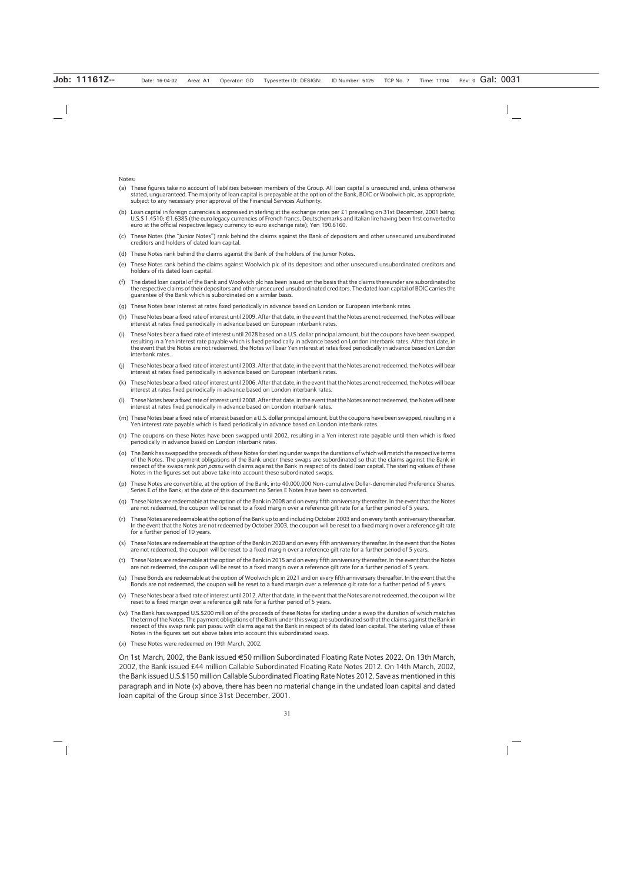Notes:

- (a) These figures take no account of liabilities between members of the Group. All loan capital is unsecured and, unless otherwise stated, unguaranteed. The majority of loan capital is prepayable at the option of the Bank, BOIC or Woolwich plc, as appropriate, subject to any necessary prior approval of the Financial Services Authority.
- (b) Loan capital in foreign currencies is expressed in sterling at the exchange rates per £1 prevailing on 31st December, 2001 being:  $U.S.$ \$  $1.4510$ ;  $\in$  1.6385 (the euro legacy currencies of French francs, Deutschemarks and Italian lire having been first converted to euro at the official respective legacy currency to euro exchange rate); Yen 190.6160.
- (c) These Notes (the "Junior Notes") rank behind the claims against the Bank of depositors and other unsecured unsubordinated creditors and holders of dated loan capital.
- (d) These Notes rank behind the claims against the Bank of the holders of the Junior Notes.
- (e) These Notes rank behind the claims against Woolwich plc of its depositors and other unsecured unsubordinated creditors and holders of its dated loan capital.
- (f) The dated loan capital of the Bank and Woolwich plc has been issued on the basis that the claims thereunder are subordinated to the respective claims of their depositors and other unsecured unsubordinated creditors. The dated loan capital of BOIC carries the guarantee of the Bank which is subordinated on a similar basis.
- (g) These Notes bear interest at rates fixed periodically in advance based on London or European interbank rates.
- (h) These Notes bear a fixed rate of interest until 2009. After that date, in the event that the Notes are not redeemed, the Notes will bear interest at rates fixed periodically in advance based on European interbank rates.
- (i) These Notes bear a fixed rate of interest until 2028 based on a U.S. dollar principal amount, but the coupons have been swapped, resulting in a Yen interest rate payable which is fixed periodically in advance based on London interbank rates. After that date, in the event that the Notes are not redeemed, the Notes will bear Yen interest at rates fixed periodically in advance based on London interbank rates.
- (j) These Notes bear a fixed rate of interest until 2003. After that date, in the event that the Notes are not redeemed, the Notes will bear interest at rates fixed periodically in advance based on European interbank rates.
- (k) These Notes bear a fixed rate of interest until 2006. After that date, in the event that the Notes are not redeemed, the Notes will bear interest at rates fixed periodically in advance based on London interbank rates.
- (l) These Notes bear a fixed rate of interest until 2008. After that date, in the event that the Notes are not redeemed, the Notes will bear interest at rates fixed periodically in advance based on London interbank rates.
- (m) These Notes bear a fixed rate of interest based on a U.S. dollar principal amount, but the coupons have been swapped, resulting in a Yen interest rate payable which is fixed periodically in advance based on London interbank rates.
- (n) The coupons on these Notes have been swapped until 2002, resulting in a Yen interest rate payable until then which is fixed periodically in advance based on London interbank rates.
- (o) The Bank has swapped the proceeds of these Notes for sterling under swaps the durations of which will match the respective terms of the Notes. The payment obligations of the Bank under these swaps are subordinated so that the claims against the Bank in respect of the swaps rank *pari passu* with claims against the Bank in respect of its dated loan capital. The sterling values of these Notes in the figures set out above take into account these subordinated swaps.
- (p) These Notes are convertible, at the option of the Bank, into 40,000,000 Non-cumulative Dollar-denominated Preference Shares, Series E of the Bank; at the date of this document no Series E Notes have been so converted.
- (q) These Notes are redeemable at the option of the Bank in 2008 and on every fifth anniversary thereafter. In the event that the Notes are not redeemed, the coupon will be reset to a fixed margin over a reference gilt rate for a further period of 5 years.
- (r) These Notes are redeemable at the option of the Bank up to and including October 2003 and on every tenth anniversary thereafter. In the event that the Notes are not redeemed by October 2003, the coupon will be reset to a fixed margin over a reference gilt rate for a further period of 10 years.
- (s) These Notes are redeemable at the option of the Bank in 2020 and on every fifth anniversary thereafter. In the event that the Notes are not redeemed, the coupon will be reset to a fixed margin over a reference gilt rate for a further period of 5 years.
- (t) These Notes are redeemable at the option of the Bank in 2015 and on every fifth anniversary thereafter. In the event that the Notes are not redeemed, the coupon will be reset to a fixed margin over a reference gilt rate for a further period of 5 years.
- (u) These Bonds are redeemable at the option of Woolwich plc in 2021 and on every fifth anniversary thereafter. In the event that the Bonds are not redeemed, the coupon will be reset to a fixed margin over a reference gilt rate for a further period of 5 years.
- (v) These Notes bear a fixed rate of interest until 2012. After that date, in the event that the Notes are not redeemed, the coupon will be reset to a fixed margin over a reference gilt rate for a further period of 5 years.
- (w) The Bank has swapped U.S.\$200 million of the proceeds of these Notes for sterling under a swap the duration of which matches the term of the Notes. The payment obligations of the Bank under this swap are subordinated so that the claims against the Bank in respect of this swap rank pari passu with claims against the Bank in respect of its dated loan capital. The sterling value of these Notes in the figures set out above takes into account this subordinated swap.
- (x) These Notes were redeemed on 19th March, 2002.

On 1st March, 2002, the Bank issued €50 million Subordinated Floating Rate Notes 2022. On 13th March, 2002, the Bank issued £44 million Callable Subordinated Floating Rate Notes 2012. On 14th March, 2002, the Bank issued U.S.\$150 million Callable Subordinated Floating Rate Notes 2012. Save as mentioned in this paragraph and in Note (x) above, there has been no material change in the undated loan capital and dated loan capital of the Group since 31st December, 2001.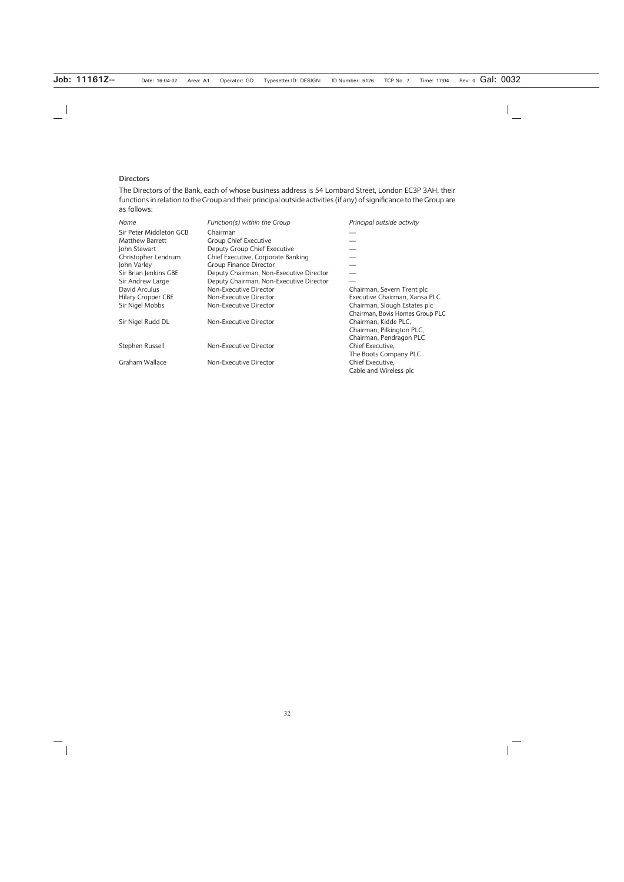#### **Directors**

The Directors of the Bank, each of whose business address is 54 Lombard Street, London EC3P 3AH, their functions in relation to the Group and their principal outside activities (if any) of significance to the Group are as follows:

| Name                      | Function(s) within the Group            | Principal outside activity      |
|---------------------------|-----------------------------------------|---------------------------------|
| Sir Peter Middleton GCB   | Chairman                                |                                 |
| Matthew Barrett           | Group Chief Executive                   |                                 |
| John Stewart              | Deputy Group Chief Executive            |                                 |
| Christopher Lendrum       | Chief Executive, Corporate Banking      |                                 |
| John Varley               | <b>Group Finance Director</b>           |                                 |
| Sir Brian Jenkins GBE     | Deputy Chairman, Non-Executive Director |                                 |
| Sir Andrew Large          | Deputy Chairman, Non-Executive Director |                                 |
| David Arculus             | Non-Executive Director                  | Chairman, Severn Trent plc      |
| <b>Hilary Cropper CBE</b> | Non-Executive Director                  | Executive Chairman, Xansa PLC   |
| Sir Nigel Mobbs           | Non-Executive Director                  | Chairman, Slough Estates plc    |
|                           |                                         | Chairman, Bovis Homes Group PLC |
| Sir Nigel Rudd DL         | Non-Executive Director                  | Chairman, Kidde PLC,            |
|                           |                                         | Chairman, Pilkington PLC,       |
|                           |                                         | Chairman, Pendragon PLC         |
| Stephen Russell           | Non-Executive Director                  | Chief Executive,                |
|                           |                                         | The Boots Company PLC           |
| Graham Wallace            | Non-Executive Director                  | Chief Executive,                |
|                           |                                         | Cable and Wireless plc          |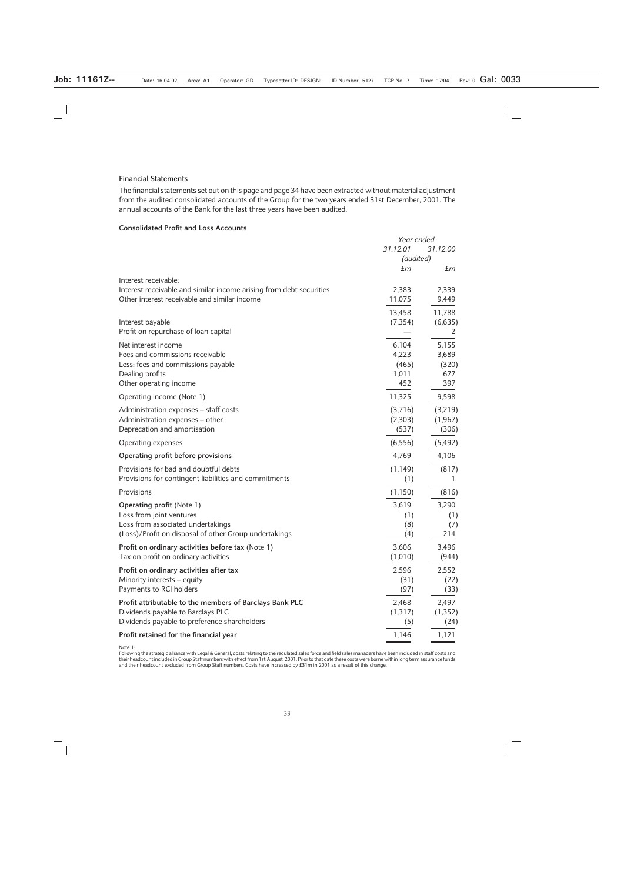#### **Financial Statements**

The financial statements set out on this page and page 34 have been extracted without material adjustment from the audited consolidated accounts of the Group for the two years ended 31st December, 2001. The annual accounts of the Bank for the last three years have been audited.

#### **Consolidated Profit and Loss Accounts**

|                                                                     | Year ended |              |
|---------------------------------------------------------------------|------------|--------------|
|                                                                     | 31.12.01   | 31.12.00     |
|                                                                     | (audited)  |              |
|                                                                     | £m         | £m           |
| Interest receivable:                                                |            |              |
| Interest receivable and similar income arising from debt securities | 2,383      | 2,339        |
| Other interest receivable and similar income                        | 11,075     | 9,449        |
|                                                                     | 13,458     | 11,788       |
| Interest payable                                                    | (7, 354)   | (6,635)      |
| Profit on repurchase of loan capital                                |            | $\mathbf{Z}$ |
| Net interest income                                                 | 6,104      | 5,155        |
| Fees and commissions receivable                                     | 4,223      | 3,689        |
| Less: fees and commissions payable                                  | (465)      | (320)        |
| Dealing profits                                                     | 1,011      | 677          |
| Other operating income                                              | 452        | 397          |
| Operating income (Note 1)                                           | 11,325     | 9,598        |
| Administration expenses - staff costs                               | (3,716)    | (3,219)      |
| Administration expenses - other                                     | (2,303)    | (1, 967)     |
| Deprecation and amortisation                                        | (537)      | (306)        |
| Operating expenses                                                  | (6, 556)   | (5, 492)     |
| Operating profit before provisions                                  | 4,769      | 4,106        |
| Provisions for bad and doubtful debts                               | (1, 149)   | (817)        |
| Provisions for contingent liabilities and commitments               | (1)        | 1            |
| Provisions                                                          | (1, 150)   | (816)        |
| <b>Operating profit (Note 1)</b>                                    | 3,619      | 3,290        |
| Loss from joint ventures                                            | (1)        | (1)          |
| Loss from associated undertakings                                   | (8)        | (7)          |
| (Loss)/Profit on disposal of other Group undertakings               | (4)        | 214          |
| Profit on ordinary activities before tax (Note 1)                   | 3,606      | 3,496        |
| Tax on profit on ordinary activities                                | (1,010)    | (944)        |
| Profit on ordinary activities after tax                             | 2,596      | 2,552        |
| Minority interests - equity                                         | (31)       | (22)         |
| Payments to RCI holders                                             | (97)       | (33)         |
| Profit attributable to the members of Barclays Bank PLC             | 2,468      | 2,497        |
| Dividends payable to Barclays PLC                                   | (1, 317)   | (1, 352)     |
| Dividends payable to preference shareholders                        | (5)        | (24)         |
| Profit retained for the financial year                              | 1,146      | 1,121        |

Note 1:

Following the strategic alliance with Legal & General, costs relating to the regulated sales force and field sales managers have been included in staff costs and<br>their headcount included in Group Staff numbers with effect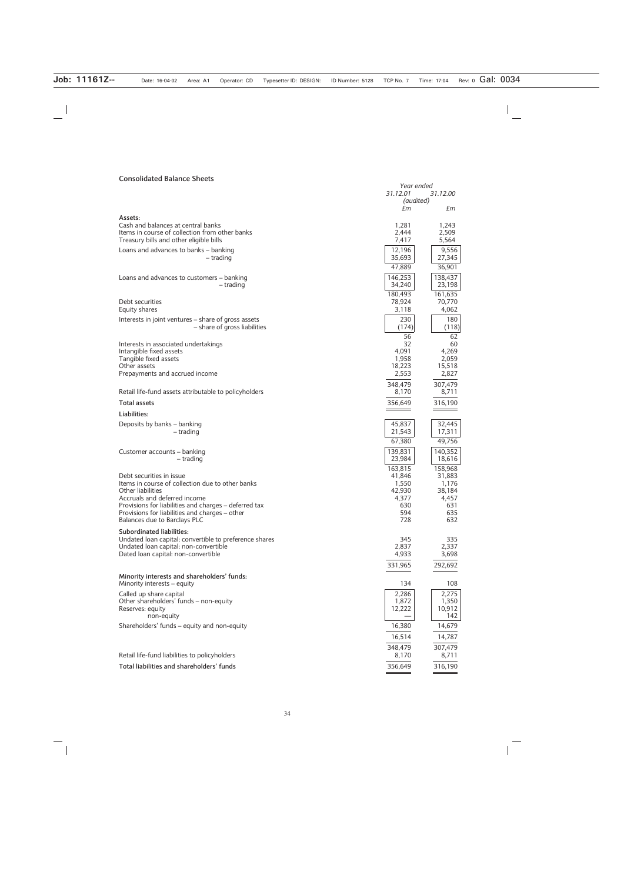#### **Consolidated Balance Sheets**

| CONSUMERICA DESIGNICE SHEELS                                                                                                                                                                                                                                                 | 31.12.01                                                 | Year ended<br>31.12.00                                   |  |
|------------------------------------------------------------------------------------------------------------------------------------------------------------------------------------------------------------------------------------------------------------------------------|----------------------------------------------------------|----------------------------------------------------------|--|
|                                                                                                                                                                                                                                                                              | (audited)<br>£m                                          | £m                                                       |  |
| Assets:                                                                                                                                                                                                                                                                      |                                                          |                                                          |  |
| Cash and balances at central banks<br>Items in course of collection from other banks<br>Treasury bills and other eligible bills                                                                                                                                              | 1,281<br>2,444<br>7,417                                  | 1,243<br>2,509<br>5,564                                  |  |
| Loans and advances to banks - banking<br>– trading                                                                                                                                                                                                                           | 12,196<br>35,693<br>47,889                               | 9,556<br>27,345<br>36,901                                |  |
| Loans and advances to customers - banking<br>– trading                                                                                                                                                                                                                       | 146,253<br>34,240                                        | 138,437<br>23,198                                        |  |
| Debt securities<br>Equity shares                                                                                                                                                                                                                                             | 180,493<br>78,924<br>3,118                               | 161,635<br>70,770<br>4,062                               |  |
| Interests in joint ventures – share of gross assets<br>- share of gross liabilities                                                                                                                                                                                          | 230<br>(174)                                             | 180<br>(118)                                             |  |
| Interests in associated undertakings<br>Intangible fixed assets<br>Tangible fixed assets<br>Other assets<br>Prepayments and accrued income                                                                                                                                   | 56<br>32<br>4,091<br>1,958<br>18,223<br>2,553<br>348,479 | 62<br>60<br>4,269<br>2,059<br>15,518<br>2,827<br>307,479 |  |
| Retail life-fund assets attributable to policyholders                                                                                                                                                                                                                        | 8,170                                                    | 8,711                                                    |  |
| <b>Total assets</b>                                                                                                                                                                                                                                                          | 356,649                                                  | 316,190                                                  |  |
| Liabilities:                                                                                                                                                                                                                                                                 |                                                          |                                                          |  |
| Deposits by banks - banking<br>– trading                                                                                                                                                                                                                                     | 45,837<br>21,543                                         | 32,445<br>17,311                                         |  |
|                                                                                                                                                                                                                                                                              | 67,380                                                   | 49,756                                                   |  |
| Customer accounts – banking<br>– trading                                                                                                                                                                                                                                     | 139,831<br>23,984<br>163,815                             | 140,352<br>18,616<br>158,968                             |  |
| Debt securities in issue<br>Items in course of collection due to other banks<br>Other liabilities<br>Accruals and deferred income<br>Provisions for liabilities and charges - deferred tax<br>Provisions for liabilities and charges - other<br>Balances due to Barclays PLC | 41,846<br>1,550<br>42,930<br>4,377<br>630<br>594<br>728  | 31,883<br>1,176<br>38,184<br>4,457<br>631<br>635<br>632  |  |
| Subordinated liabilities:<br>Undated loan capital: convertible to preference shares<br>Undated loan capital: non-convertible<br>Dated loan capital: non-convertible                                                                                                          | 345<br>2,837<br>4,933<br>331,965                         | 335<br>2,337<br>3,698<br>292,692                         |  |
| Minority interests and shareholders' funds:                                                                                                                                                                                                                                  |                                                          |                                                          |  |
| Minority interests – equity<br>Called up share capital<br>Other shareholders' funds - non-equity<br>Reserves: equity<br>non-equity                                                                                                                                           | 134<br>2,286<br>1,872<br>12,222                          | 108<br>2,275<br>1,350<br>10,912<br>142                   |  |
| Shareholders' funds – equity and non-equity                                                                                                                                                                                                                                  | 16,380                                                   | 14,679                                                   |  |
|                                                                                                                                                                                                                                                                              | 16,514                                                   | 14,787                                                   |  |
| Retail life-fund liabilities to policyholders                                                                                                                                                                                                                                | 348,479<br>8,170                                         | 307,479<br>8,711                                         |  |
| Total liabilities and shareholders' funds                                                                                                                                                                                                                                    | 356,649                                                  | 316,190                                                  |  |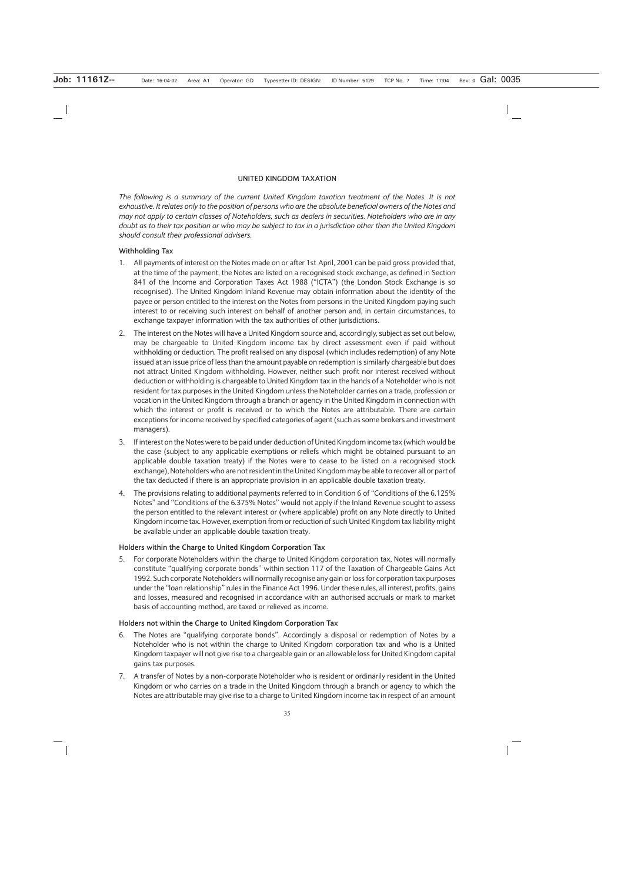#### **UNITED KINGDOM TAXATION**

*The following is a summary of the current United Kingdom taxation treatment of the Notes. It is not exhaustive. It relates only to the position of persons who are the absolute beneficial owners of the Notes and may not apply to certain classes of Noteholders, such as dealers in securities. Noteholders who are in any doubt as to their tax position or who may be subject to tax in a jurisdiction other than the United Kingdom should consult their professional advisers.*

#### **Withholding Tax**

- 1. All payments of interest on the Notes made on or after 1st April, 2001 can be paid gross provided that, at the time of the payment, the Notes are listed on a recognised stock exchange, as defined in Section 841 of the Income and Corporation Taxes Act 1988 ("ICTA") (the London Stock Exchange is so recognised). The United Kingdom Inland Revenue may obtain information about the identity of the payee or person entitled to the interest on the Notes from persons in the United Kingdom paying such interest to or receiving such interest on behalf of another person and, in certain circumstances, to exchange taxpayer information with the tax authorities of other jurisdictions.
- 2. The interest on the Notes will have a United Kingdom source and, accordingly, subject as set out below, may be chargeable to United Kingdom income tax by direct assessment even if paid without withholding or deduction. The profit realised on any disposal (which includes redemption) of any Note issued at an issue price of less than the amount payable on redemption is similarly chargeable but does not attract United Kingdom withholding. However, neither such profit nor interest received without deduction or withholding is chargeable to United Kingdom tax in the hands of a Noteholder who is not resident for tax purposes in the United Kingdom unless the Noteholder carries on a trade, profession or vocation in the United Kingdom through a branch or agency in the United Kingdom in connection with which the interest or profit is received or to which the Notes are attributable. There are certain exceptions for income received by specified categories of agent (such as some brokers and investment managers).
- 3. If interest on the Notes were to be paid under deduction of United Kingdom income tax (which would be the case (subject to any applicable exemptions or reliefs which might be obtained pursuant to an applicable double taxation treaty) if the Notes were to cease to be listed on a recognised stock exchange), Noteholders who are not resident in the United Kingdom may be able to recover all or part of the tax deducted if there is an appropriate provision in an applicable double taxation treaty.
- 4. The provisions relating to additional payments referred to in Condition 6 of "Conditions of the 6.125% Notes" and "Conditions of the 6.375% Notes" would not apply if the Inland Revenue sought to assess the person entitled to the relevant interest or (where applicable) profit on any Note directly to United Kingdom income tax. However, exemption from or reduction of such United Kingdom tax liability might be available under an applicable double taxation treaty.

#### **Holders within the Charge to United Kingdom Corporation Tax**

5. For corporate Noteholders within the charge to United Kingdom corporation tax, Notes will normally constitute "qualifying corporate bonds" within section 117 of the Taxation of Chargeable Gains Act 1992. Such corporate Noteholders will normally recognise any gain or loss for corporation tax purposes under the "loan relationship" rules in the Finance Act 1996. Under these rules, all interest, profits, gains and losses, measured and recognised in accordance with an authorised accruals or mark to market basis of accounting method, are taxed or relieved as income.

#### **Holders not within the Charge to United Kingdom Corporation Tax**

- 6. The Notes are "qualifying corporate bonds". Accordingly a disposal or redemption of Notes by a Noteholder who is not within the charge to United Kingdom corporation tax and who is a United Kingdom taxpayer will not give rise to a chargeable gain or an allowable loss for United Kingdom capital gains tax purposes.
- 7. A transfer of Notes by a non-corporate Noteholder who is resident or ordinarily resident in the United Kingdom or who carries on a trade in the United Kingdom through a branch or agency to which the Notes are attributable may give rise to a charge to United Kingdom income tax in respect of an amount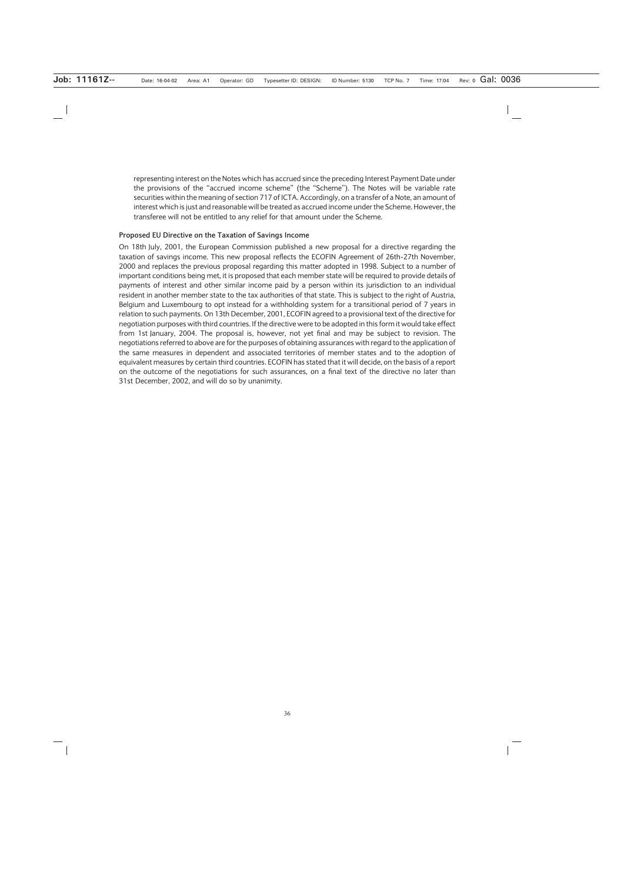representing interest on the Notes which has accrued since the preceding Interest Payment Date under the provisions of the "accrued income scheme" (the "Scheme"). The Notes will be variable rate securities within the meaning of section 717 of ICTA. Accordingly, on a transfer of a Note, an amount of interest which is just and reasonable will be treated as accrued income under the Scheme. However, the transferee will not be entitled to any relief for that amount under the Scheme.

#### **Proposed EU Directive on the Taxation of Savings Income**

On 18th July, 2001, the European Commission published a new proposal for a directive regarding the taxation of savings income. This new proposal reflects the ECOFIN Agreement of 26th-27th November, 2000 and replaces the previous proposal regarding this matter adopted in 1998. Subject to a number of important conditions being met, it is proposed that each member state will be required to provide details of payments of interest and other similar income paid by a person within its jurisdiction to an individual resident in another member state to the tax authorities of that state. This is subject to the right of Austria, Belgium and Luxembourg to opt instead for a withholding system for a transitional period of 7 years in relation to such payments. On 13th December, 2001, ECOFIN agreed to a provisional text of the directive for negotiation purposes with third countries. If the directive were to be adopted in this form it would take effect from 1st January, 2004. The proposal is, however, not yet final and may be subject to revision. The negotiations referred to above are for the purposes of obtaining assurances with regard to the application of the same measures in dependent and associated territories of member states and to the adoption of equivalent measures by certain third countries. ECOFIN has stated that it will decide, on the basis of a report on the outcome of the negotiations for such assurances, on a final text of the directive no later than 31st December, 2002, and will do so by unanimity.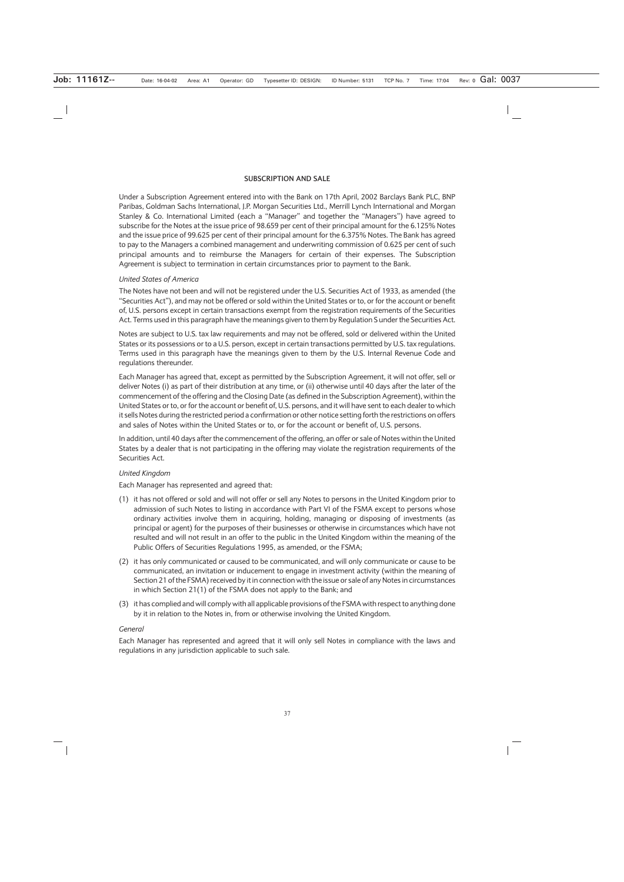#### **SUBSCRIPTION AND SALE**

Under a Subscription Agreement entered into with the Bank on 17th April, 2002 Barclays Bank PLC, BNP Paribas, Goldman Sachs International, J.P. Morgan Securities Ltd., Merrill Lynch International and Morgan Stanley & Co. International Limited (each a "Manager" and together the "Managers") have agreed to subscribe for the Notes at the issue price of 98.659 per cent of their principal amount for the 6.125% Notes and the issue price of 99.625 per cent of their principal amount for the 6.375% Notes. The Bank has agreed to pay to the Managers a combined management and underwriting commission of 0.625 per cent of such principal amounts and to reimburse the Managers for certain of their expenses. The Subscription Agreement is subject to termination in certain circumstances prior to payment to the Bank.

#### *United States of America*

The Notes have not been and will not be registered under the U.S. Securities Act of 1933, as amended (the "Securities Act"), and may not be offered or sold within the United States or to, or for the account or benefit of, U.S. persons except in certain transactions exempt from the registration requirements of the Securities Act. Terms used in this paragraph have the meanings given to them by Regulation S under the Securities Act.

Notes are subject to U.S. tax law requirements and may not be offered, sold or delivered within the United States or its possessions or to a U.S. person, except in certain transactions permitted by U.S. tax regulations. Terms used in this paragraph have the meanings given to them by the U.S. Internal Revenue Code and regulations thereunder.

Each Manager has agreed that, except as permitted by the Subscription Agreement, it will not offer, sell or deliver Notes (i) as part of their distribution at any time, or (ii) otherwise until 40 days after the later of the commencement of the offering and the Closing Date (as defined in the Subscription Agreement), within the United States or to, or for the account or benefit of, U.S. persons, and it will have sent to each dealer to which it sells Notes during the restricted period a confirmation or other notice setting forth the restrictions on offers and sales of Notes within the United States or to, or for the account or benefit of, U.S. persons.

In addition, until 40 days after the commencement of the offering, an offer or sale of Notes within the United States by a dealer that is not participating in the offering may violate the registration requirements of the Securities Act.

#### *United Kingdom*

Each Manager has represented and agreed that:

- (1) it has not offered or sold and will not offer or sell any Notes to persons in the United Kingdom prior to admission of such Notes to listing in accordance with Part VI of the FSMA except to persons whose ordinary activities involve them in acquiring, holding, managing or disposing of investments (as principal or agent) for the purposes of their businesses or otherwise in circumstances which have not resulted and will not result in an offer to the public in the United Kingdom within the meaning of the Public Offers of Securities Regulations 1995, as amended, or the FSMA;
- (2) it has only communicated or caused to be communicated, and will only communicate or cause to be communicated, an invitation or inducement to engage in investment activity (within the meaning of Section 21 of the FSMA) received by it in connection with the issue or sale of any Notes in circumstances in which Section 21(1) of the FSMA does not apply to the Bank; and
- (3) it has complied and will comply with all applicable provisions of the FSMA with respect to anything done by it in relation to the Notes in, from or otherwise involving the United Kingdom.

#### *General*

Each Manager has represented and agreed that it will only sell Notes in compliance with the laws and regulations in any jurisdiction applicable to such sale.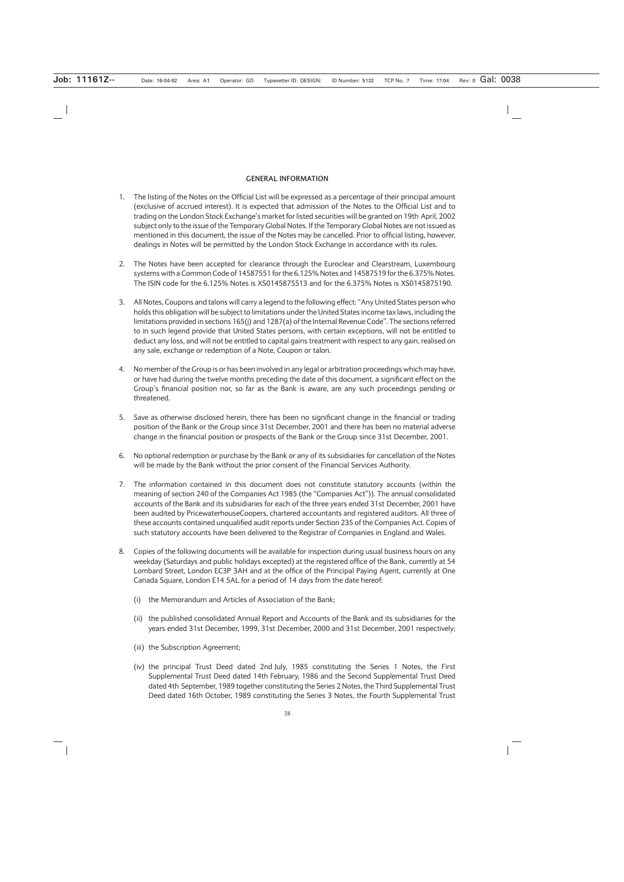#### **GENERAL INFORMATION**

- 1. The listing of the Notes on the Official List will be expressed as a percentage of their principal amount (exclusive of accrued interest). It is expected that admission of the Notes to the Official List and to trading on the London Stock Exchange's market for listed securities will be granted on 19th April, 2002 subject only to the issue of the Temporary Global Notes. If the Temporary Global Notes are not issued as mentioned in this document, the issue of the Notes may be cancelled. Prior to official listing, however, dealings in Notes will be permitted by the London Stock Exchange in accordance with its rules.
- 2. The Notes have been accepted for clearance through the Euroclear and Clearstream, Luxembourg systems with a Common Code of 14587551 for the 6.125% Notes and 14587519 for the 6.375% Notes. The ISIN code for the 6.125% Notes is XS0145875513 and for the 6.375% Notes is XS0145875190.
- 3. All Notes, Coupons and talons will carry a legend to the following effect: "Any United States person who holds this obligation will be subject to limitations under the United States income tax laws, including the limitations provided in sections 165(j) and 1287(a) of the Internal Revenue Code". The sections referred to in such legend provide that United States persons, with certain exceptions, will not be entitled to deduct any loss, and will not be entitled to capital gains treatment with respect to any gain, realised on any sale, exchange or redemption of a Note, Coupon or talon.
- 4. No member of the Group is or has been involved in any legal or arbitration proceedings which may have, or have had during the twelve months preceding the date of this document, a significant effect on the Group's financial position nor, so far as the Bank is aware, are any such proceedings pending or threatened.
- 5. Save as otherwise disclosed herein, there has been no significant change in the financial or trading position of the Bank or the Group since 31st December, 2001 and there has been no material adverse change in the financial position or prospects of the Bank or the Group since 31st December, 2001.
- 6. No optional redemption or purchase by the Bank or any of its subsidiaries for cancellation of the Notes will be made by the Bank without the prior consent of the Financial Services Authority.
- 7. The information contained in this document does not constitute statutory accounts (within the meaning of section 240 of the Companies Act 1985 (the "Companies Act")). The annual consolidated accounts of the Bank and its subsidiaries for each of the three years ended 31st December, 2001 have been audited by PricewaterhouseCoopers, chartered accountants and registered auditors. All three of these accounts contained unqualified audit reports under Section 235 of the Companies Act. Copies of such statutory accounts have been delivered to the Registrar of Companies in England and Wales.
- 8. Copies of the following documents will be available for inspection during usual business hours on any weekday (Saturdays and public holidays excepted) at the registered office of the Bank, currently at 54 Lombard Street, London EC3P 3AH and at the office of the Principal Paying Agent, currently at One Canada Square, London E14 5AL for a period of 14 days from the date hereof:
	- (i) the Memorandum and Articles of Association of the Bank;
	- (ii) the published consolidated Annual Report and Accounts of the Bank and its subsidiaries for the years ended 31st December, 1999, 31st December, 2000 and 31st December, 2001 respectively;
	- (iii) the Subscription Agreement;
	- (iv) the principal Trust Deed dated 2nd July, 1985 constituting the Series 1 Notes, the First Supplemental Trust Deed dated 14th February, 1986 and the Second Supplemental Trust Deed dated 4th September, 1989 together constituting the Series 2 Notes, the Third Supplemental Trust Deed dated 16th October, 1989 constituting the Series 3 Notes, the Fourth Supplemental Trust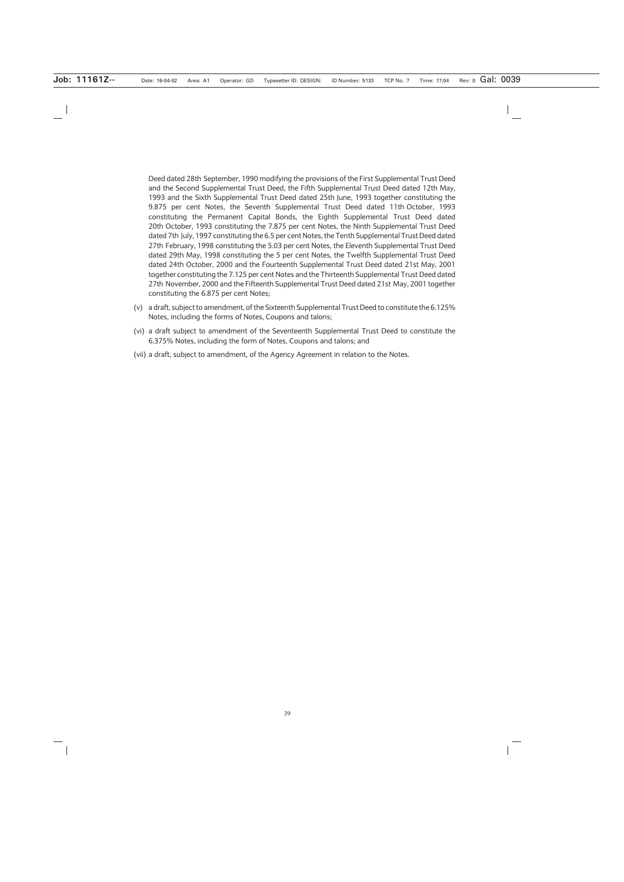Deed dated 28th September, 1990 modifying the provisions of the First Supplemental Trust Deed and the Second Supplemental Trust Deed, the Fifth Supplemental Trust Deed dated 12th May, 1993 and the Sixth Supplemental Trust Deed dated 25th June, 1993 together constituting the 9.875 per cent Notes, the Seventh Supplemental Trust Deed dated 11th October, 1993 constituting the Permanent Capital Bonds, the Eighth Supplemental Trust Deed dated 20th October, 1993 constituting the 7.875 per cent Notes, the Ninth Supplemental Trust Deed dated 7th July, 1997 constituting the 6.5 per cent Notes, the Tenth Supplemental Trust Deed dated 27th February, 1998 constituting the 5.03 per cent Notes, the Eleventh Supplemental Trust Deed dated 29th May, 1998 constituting the 5 per cent Notes, the Twelfth Supplemental Trust Deed dated 24th October, 2000 and the Fourteenth Supplemental Trust Deed dated 21st May, 2001 together constituting the 7.125 per cent Notes and the Thirteenth Supplemental Trust Deed dated 27th November, 2000 and the Fifteenth Supplemental Trust Deed dated 21st May, 2001 together constituting the 6.875 per cent Notes;

- (v) a draft, subject to amendment, of the Sixteenth Supplemental Trust Deed to constitute the 6.125% Notes, including the forms of Notes, Coupons and talons;
- (vi) a draft subject to amendment of the Seventeenth Supplemental Trust Deed to constitute the 6.375% Notes, including the form of Notes, Coupons and talons; and
- (vii) a draft, subject to amendment, of the Agency Agreement in relation to the Notes.